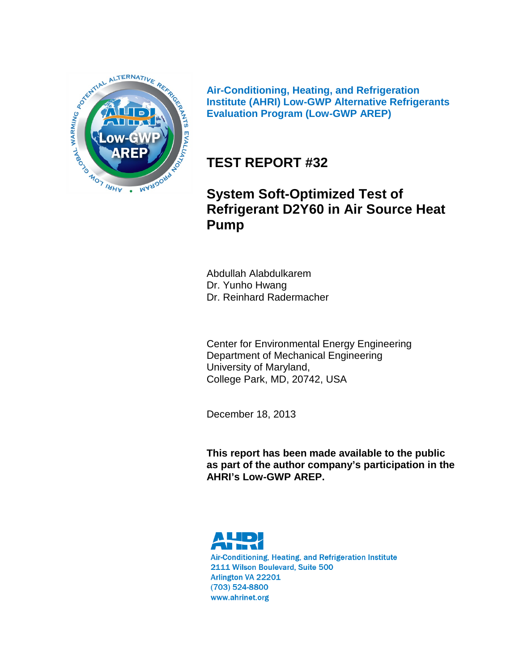

**Air-Conditioning, Heating, and Refrigeration Institute (AHRI) Low-GWP Alternative Refrigerants Evaluation Program (Low-GWP AREP)**

# **TEST REPORT #32**

# **System Soft-Optimized Test of Refrigerant D2Y60 in Air Source Heat Pump**

Abdullah Alabdulkarem Dr. Yunho Hwang Dr. Reinhard Radermacher

Center for Environmental Energy Engineering Department of Mechanical Engineering University of Maryland, College Park, MD, 20742, USA

December 18, 2013

**This report has been made available to the public as part of the author company's participation in the AHRI's Low-GWP AREP.**



Air-Conditioning, Heating, and Refrigeration Institute 2111 Wilson Boulevard, Suite 500 Arlington VA 22201 (703) 524-8800 www.ahrinet.org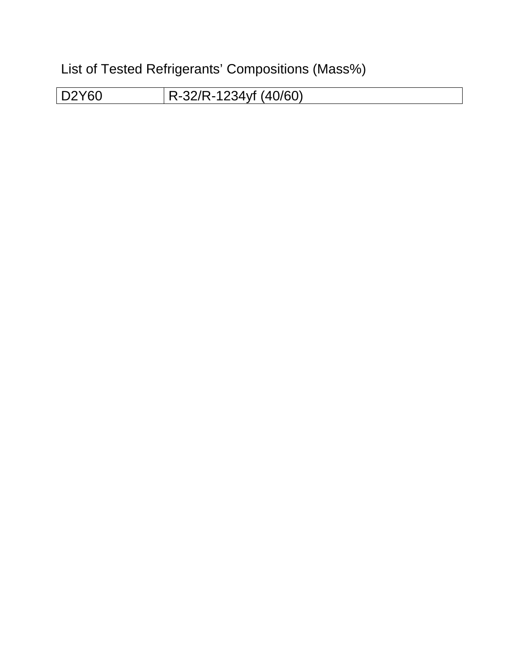List of Tested Refrigerants' Compositions (Mass%)

D2Y60 R-32/R-1234yf (40/60)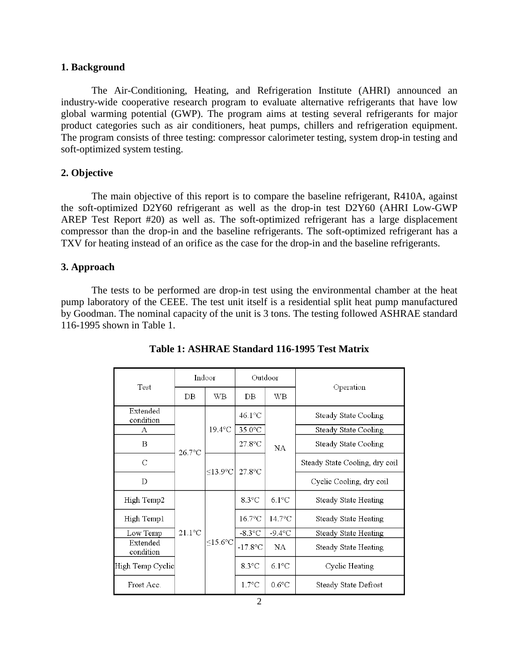#### **1. Background**

The Air-Conditioning, Heating, and Refrigeration Institute (AHRI) announced an industry-wide cooperative research program to evaluate alternative refrigerants that have low global warming potential (GWP). The program aims at testing several refrigerants for major product categories such as air conditioners, heat pumps, chillers and refrigeration equipment. The program consists of three testing: compressor calorimeter testing, system drop-in testing and soft-optimized system testing.

#### **2. Objective**

The main objective of this report is to compare the baseline refrigerant, R410A, against the soft-optimized D2Y60 refrigerant as well as the drop-in test D2Y60 (AHRI Low-GWP AREP Test Report #20) as well as. The soft-optimized refrigerant has a large displacement compressor than the drop-in and the baseline refrigerants. The soft-optimized refrigerant has a TXV for heating instead of an orifice as the case for the drop-in and the baseline refrigerants.

#### **3. Approach**

The tests to be performed are drop-in test using the environmental chamber at the heat pump laboratory of the CEEE. The test unit itself is a residential split heat pump manufactured by Goodman. The nominal capacity of the unit is 3 tons. The testing followed ASHRAE standard 116-1995 shown in Table 1.

| Test                  | Indoor           |                      | Outdoor          |                  |                                |  |
|-----------------------|------------------|----------------------|------------------|------------------|--------------------------------|--|
|                       | DB               | WB                   | DB               | WB               | Operation                      |  |
| Extended<br>condition |                  | $19.4$ °C            | $46.1^{\circ}$ C | <b>NA</b>        | Steady State Cooling           |  |
| А                     |                  |                      | $35.0$ °C        |                  | Steady State Cooling           |  |
| B                     | $26.7$ °C        |                      | $27.8$ °C        |                  | Steady State Cooling           |  |
| C                     |                  | $<$ 13.9 $\degree$ C | $27.8$ °C        |                  | Steady State Cooling, dry coil |  |
| D                     |                  |                      |                  |                  | Cyclic Cooling, dry coil       |  |
| High Temp2            |                  |                      | $8.3^{\circ}$ C  | $6.1^{\circ}$ C  | Steady State Heating           |  |
| High Temp1            |                  |                      | $16.7$ °C        | $14.7^{\circ}$ C | Steady State Heating           |  |
| Low Temp              | $21.1^{\circ}$ C | $<$ 15.6 $\degree$ C | $-8.3$ °C        | $-9.4$ °C        | Steady State Heating           |  |
| Extended<br>condition |                  |                      | $-17.8$ °C       | NA               | Steady State Heating           |  |
| High Temp Cyclic      |                  |                      | $8.3^{\circ}$ C  | $6.1^{\circ}$ C  | Cyclic Heating                 |  |
| Frost Acc.            |                  |                      | $1.7^{\circ}$ C  | $0.6^{\circ}$ C  | Steady State Defrost           |  |

**Table 1: ASHRAE Standard 116-1995 Test Matrix**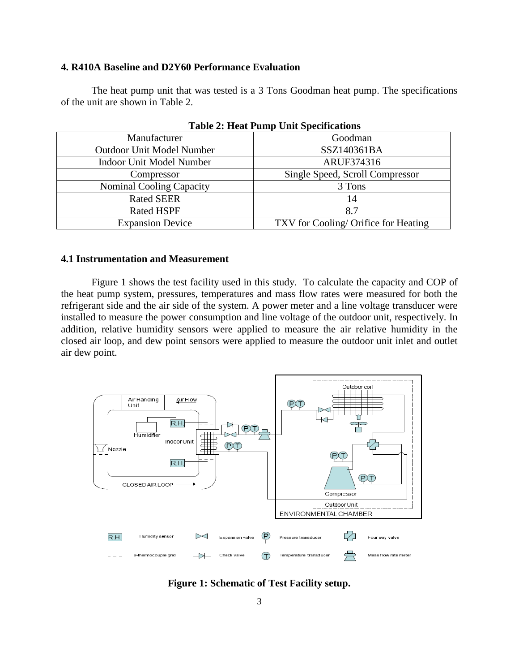#### **4. R410A Baseline and D2Y60 Performance Evaluation**

The heat pump unit that was tested is a 3 Tons Goodman heat pump. The specifications of the unit are shown in Table 2.

| Manufacturer                     | Goodman                              |
|----------------------------------|--------------------------------------|
| <b>Outdoor Unit Model Number</b> | SSZ140361BA                          |
| <b>Indoor Unit Model Number</b>  | ARUF374316                           |
| Compressor                       | Single Speed, Scroll Compressor      |
| Nominal Cooling Capacity         | 3 Tons                               |
| <b>Rated SEER</b>                | 14                                   |
| <b>Rated HSPF</b>                | 8.7                                  |
| <b>Expansion Device</b>          | TXV for Cooling/ Orifice for Heating |
|                                  |                                      |

| <b>Table 2: Heat Pump Unit Specifications</b> |  |  |
|-----------------------------------------------|--|--|
|-----------------------------------------------|--|--|

### **4.1 Instrumentation and Measurement**

Figure 1 shows the test facility used in this study. To calculate the capacity and COP of the heat pump system, pressures, temperatures and mass flow rates were measured for both the refrigerant side and the air side of the system. A power meter and a line voltage transducer were installed to measure the power consumption and line voltage of the outdoor unit, respectively. In addition, relative humidity sensors were applied to measure the air relative humidity in the closed air loop, and dew point sensors were applied to measure the outdoor unit inlet and outlet air dew point.



**Figure 1: Schematic of Test Facility setup.**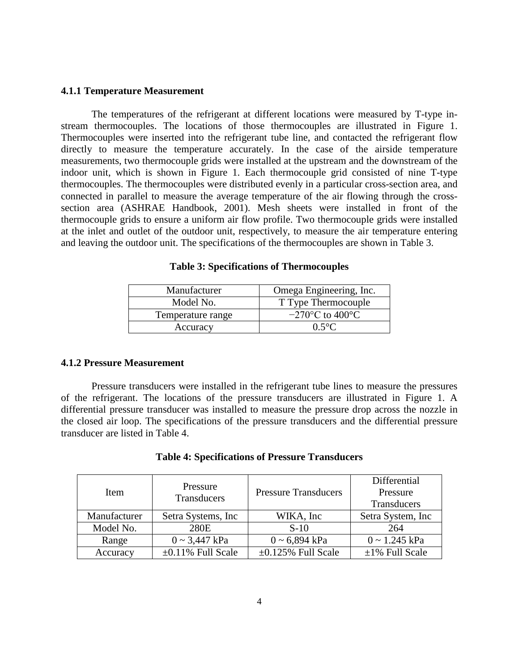#### **4.1.1 Temperature Measurement**

The temperatures of the refrigerant at different locations were measured by T-type instream thermocouples. The locations of those thermocouples are illustrated in Figure 1. Thermocouples were inserted into the refrigerant tube line, and contacted the refrigerant flow directly to measure the temperature accurately. In the case of the airside temperature measurements, two thermocouple grids were installed at the upstream and the downstream of the indoor unit, which is shown in Figure 1. Each thermocouple grid consisted of nine T-type thermocouples. The thermocouples were distributed evenly in a particular cross-section area, and connected in parallel to measure the average temperature of the air flowing through the crosssection area (ASHRAE Handbook, 2001). Mesh sheets were installed in front of the thermocouple grids to ensure a uniform air flow profile. Two thermocouple grids were installed at the inlet and outlet of the outdoor unit, respectively, to measure the air temperature entering and leaving the outdoor unit. The specifications of the thermocouples are shown in Table 3.

| Manufacturer      | Omega Engineering, Inc. |
|-------------------|-------------------------|
| Model No.         | T Type Thermocouple     |
| Temperature range | $-270$ °C to 400°C      |
| Accuracy          | $0.5$ °C                |

|  |  | <b>Table 3: Specifications of Thermocouples</b> |  |
|--|--|-------------------------------------------------|--|
|--|--|-------------------------------------------------|--|

#### **4.1.2 Pressure Measurement**

Pressure transducers were installed in the refrigerant tube lines to measure the pressures of the refrigerant. The locations of the pressure transducers are illustrated in Figure 1. A differential pressure transducer was installed to measure the pressure drop across the nozzle in the closed air loop. The specifications of the pressure transducers and the differential pressure transducer are listed in Table 4.

| <b>Table 4: Specifications of Pressure Transducers</b> |  |  |
|--------------------------------------------------------|--|--|
|--------------------------------------------------------|--|--|

| <b>Item</b>  | Pressure<br>Transducers | <b>Pressure Transducers</b> | Differential<br>Pressure<br>Transducers |
|--------------|-------------------------|-----------------------------|-----------------------------------------|
| Manufacturer | Setra Systems, Inc.     | WIKA, Inc                   | Setra System, Inc.                      |
| Model No.    | 280E                    | $S-10$                      | 264                                     |
| Range        | $0 \sim 3,447$ kPa      | $0 \sim 6,894$ kPa          | $0 \sim 1.245$ kPa                      |
| Accuracy     | $\pm 0.11\%$ Full Scale | $\pm 0.125\%$ Full Scale    | $\pm 1\%$ Full Scale                    |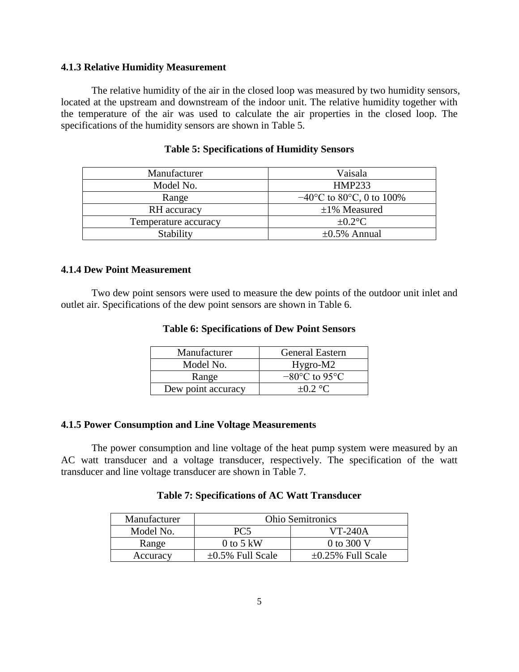#### **4.1.3 Relative Humidity Measurement**

The relative humidity of the air in the closed loop was measured by two humidity sensors, located at the upstream and downstream of the indoor unit. The relative humidity together with the temperature of the air was used to calculate the air properties in the closed loop. The specifications of the humidity sensors are shown in Table 5.

| Manufacturer         | Vaisala                                       |
|----------------------|-----------------------------------------------|
| Model No.            | <b>HMP233</b>                                 |
| Range                | $-40^{\circ}$ C to 80 $^{\circ}$ C, 0 to 100% |
| RH accuracy          | $\pm 1\%$ Measured                            |
| Temperature accuracy | $\pm 0.2$ °C                                  |
| Stability            | $\pm 0.5\%$ Annual                            |

# **Table 5: Specifications of Humidity Sensors**

#### **4.1.4 Dew Point Measurement**

Two dew point sensors were used to measure the dew points of the outdoor unit inlet and outlet air. Specifications of the dew point sensors are shown in Table 6.

#### **Table 6: Specifications of Dew Point Sensors**

| Manufacturer       | <b>General Eastern</b>             |
|--------------------|------------------------------------|
| Model No.          | Hygro-M2                           |
| Range              | $-80^{\circ}$ C to 95 $^{\circ}$ C |
| Dew point accuracy | $\pm 0.2$ °C.                      |

### **4.1.5 Power Consumption and Line Voltage Measurements**

The power consumption and line voltage of the heat pump system were measured by an AC watt transducer and a voltage transducer, respectively. The specification of the watt transducer and line voltage transducer are shown in Table 7.

# **Table 7: Specifications of AC Watt Transducer**

| Manufacturer | <b>Ohio Semitronics</b> |                         |  |
|--------------|-------------------------|-------------------------|--|
| Model No.    | PC <sub>5</sub>         | $VT-240A$               |  |
| Range        | 0 to 5 kW               | 0 to 300 V              |  |
| Accuracy     | $\pm 0.5\%$ Full Scale  | $\pm 0.25\%$ Full Scale |  |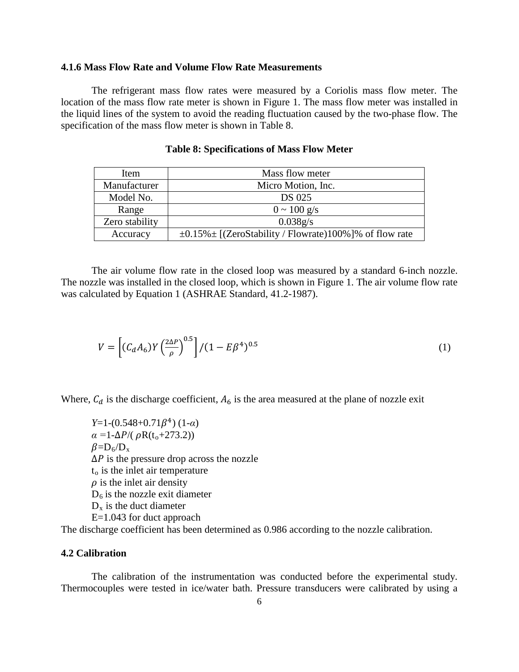#### **4.1.6 Mass Flow Rate and Volume Flow Rate Measurements**

The refrigerant mass flow rates were measured by a Coriolis mass flow meter. The location of the mass flow rate meter is shown in Figure 1. The mass flow meter was installed in the liquid lines of the system to avoid the reading fluctuation caused by the two-phase flow. The specification of the mass flow meter is shown in Table 8.

| Item           | Mass flow meter                                                 |
|----------------|-----------------------------------------------------------------|
| Manufacturer   | Micro Motion, Inc.                                              |
| Model No.      | <b>DS 025</b>                                                   |
| Range          | $0 \sim 100 \text{ g/s}$                                        |
| Zero stability | 0.038g/s                                                        |
| Accuracy       | $\pm 0.15\% \pm$ [(ZeroStability / Flowrate)100%]% of flow rate |

#### **Table 8: Specifications of Mass Flow Meter**

The air volume flow rate in the closed loop was measured by a standard 6-inch nozzle. The nozzle was installed in the closed loop, which is shown in Figure 1. The air volume flow rate was calculated by Equation 1 (ASHRAE Standard, 41.2-1987).

$$
V = \left[ (C_d A_6) Y \left( \frac{2\Delta P}{\rho} \right)^{0.5} \right] / (1 - E\beta^4)^{0.5}
$$
 (1)

Where,  $C_d$  is the discharge coefficient,  $A_6$  is the area measured at the plane of nozzle exit

*Y*=1-(0.548+0.71 $\beta$ <sup>4</sup>) (1-*α*)  $\alpha = 1 - \Delta P / (\rho R(t_0 + 273.2))$  $\beta = D_6/D_x$  $\Delta P$  is the pressure drop across the nozzle  $t<sub>o</sub>$  is the inlet air temperature  $\rho$  is the inlet air density  $D_6$  is the nozzle exit diameter  $D_x$  is the duct diameter E=1.043 for duct approach

The discharge coefficient has been determined as 0.986 according to the nozzle calibration.

#### **4.2 Calibration**

The calibration of the instrumentation was conducted before the experimental study. Thermocouples were tested in ice/water bath. Pressure transducers were calibrated by using a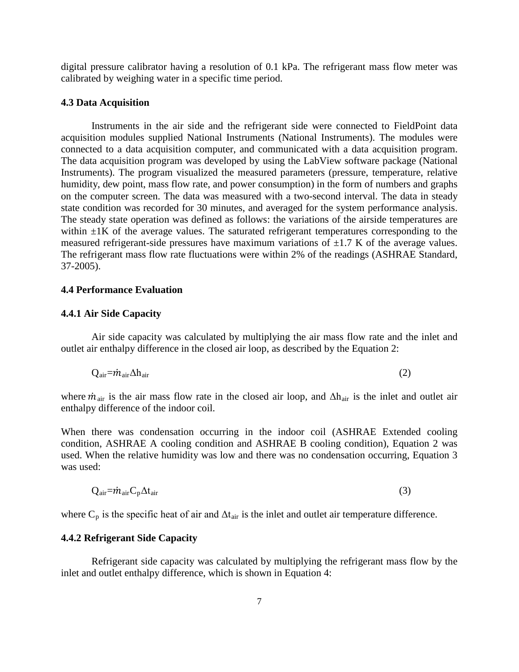digital pressure calibrator having a resolution of 0.1 kPa. The refrigerant mass flow meter was calibrated by weighing water in a specific time period.

#### **4.3 Data Acquisition**

Instruments in the air side and the refrigerant side were connected to FieldPoint data acquisition modules supplied National Instruments (National Instruments). The modules were connected to a data acquisition computer, and communicated with a data acquisition program. The data acquisition program was developed by using the LabView software package (National Instruments). The program visualized the measured parameters (pressure, temperature, relative humidity, dew point, mass flow rate, and power consumption) in the form of numbers and graphs on the computer screen. The data was measured with a two-second interval. The data in steady state condition was recorded for 30 minutes, and averaged for the system performance analysis. The steady state operation was defined as follows: the variations of the airside temperatures are within  $\pm 1$ K of the average values. The saturated refrigerant temperatures corresponding to the measured refrigerant-side pressures have maximum variations of  $\pm$ 1.7 K of the average values. The refrigerant mass flow rate fluctuations were within 2% of the readings (ASHRAE Standard, 37-2005).

## **4.4 Performance Evaluation**

#### **4.4.1 Air Side Capacity**

Air side capacity was calculated by multiplying the air mass flow rate and the inlet and outlet air enthalpy difference in the closed air loop, as described by the Equation 2:

$$
Q_{\text{air}} = \dot{m}_{\text{air}} \Delta h_{\text{air}} \tag{2}
$$

where  $\dot{m}_{air}$  is the air mass flow rate in the closed air loop, and  $\Delta h_{air}$  is the inlet and outlet air enthalpy difference of the indoor coil.

When there was condensation occurring in the indoor coil (ASHRAE Extended cooling condition, ASHRAE A cooling condition and ASHRAE B cooling condition), Equation 2 was used. When the relative humidity was low and there was no condensation occurring, Equation 3 was used:

$$
Q_{\text{air}} = \dot{m}_{\text{air}} C_p \Delta t_{\text{air}} \tag{3}
$$

where  $C_p$  is the specific heat of air and  $\Delta t_{air}$  is the inlet and outlet air temperature difference.

#### **4.4.2 Refrigerant Side Capacity**

Refrigerant side capacity was calculated by multiplying the refrigerant mass flow by the inlet and outlet enthalpy difference, which is shown in Equation 4: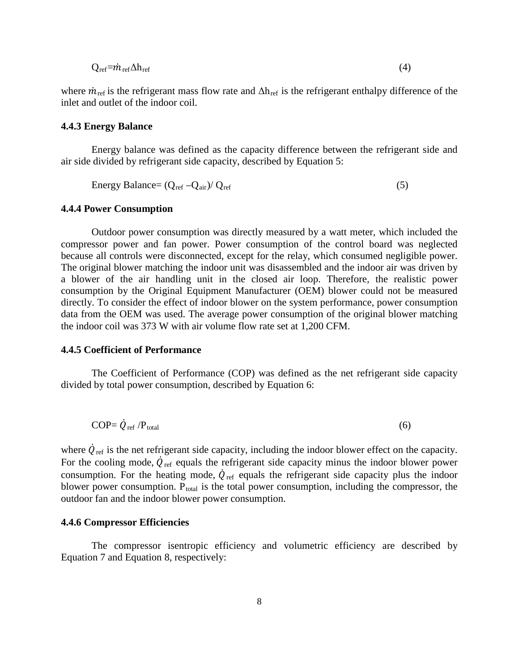$$
Q_{ref} = \dot{m}_{ref} \Delta h_{ref} \tag{4}
$$

where  $\dot{m}_{\text{ref}}$  is the refrigerant mass flow rate and  $\Delta h_{\text{ref}}$  is the refrigerant enthalpy difference of the inlet and outlet of the indoor coil.

#### **4.4.3 Energy Balance**

Energy balance was defined as the capacity difference between the refrigerant side and air side divided by refrigerant side capacity, described by Equation 5:

Energy Balance = 
$$
(Q_{ref} - Q_{air})/Q_{ref}
$$
 (5)

#### **4.4.4 Power Consumption**

Outdoor power consumption was directly measured by a watt meter, which included the compressor power and fan power. Power consumption of the control board was neglected because all controls were disconnected, except for the relay, which consumed negligible power. The original blower matching the indoor unit was disassembled and the indoor air was driven by a blower of the air handling unit in the closed air loop. Therefore, the realistic power consumption by the Original Equipment Manufacturer (OEM) blower could not be measured directly. To consider the effect of indoor blower on the system performance, power consumption data from the OEM was used. The average power consumption of the original blower matching the indoor coil was 373 W with air volume flow rate set at 1,200 CFM.

#### **4.4.5 Coefficient of Performance**

The Coefficient of Performance (COP) was defined as the net refrigerant side capacity divided by total power consumption, described by Equation 6:

$$
COP = \dot{Q}_{\text{ref}} / P_{\text{total}} \tag{6}
$$

where  $\dot{Q}_{\text{ref}}$  is the net refrigerant side capacity, including the indoor blower effect on the capacity. For the cooling mode,  $\dot{Q}_{\text{ref}}$  equals the refrigerant side capacity minus the indoor blower power consumption. For the heating mode,  $\dot{Q}_{\text{ref}}$  equals the refrigerant side capacity plus the indoor blower power consumption.  $P_{total}$  is the total power consumption, including the compressor, the outdoor fan and the indoor blower power consumption.

#### **4.4.6 Compressor Efficiencies**

The compressor isentropic efficiency and volumetric efficiency are described by Equation 7 and Equation 8, respectively: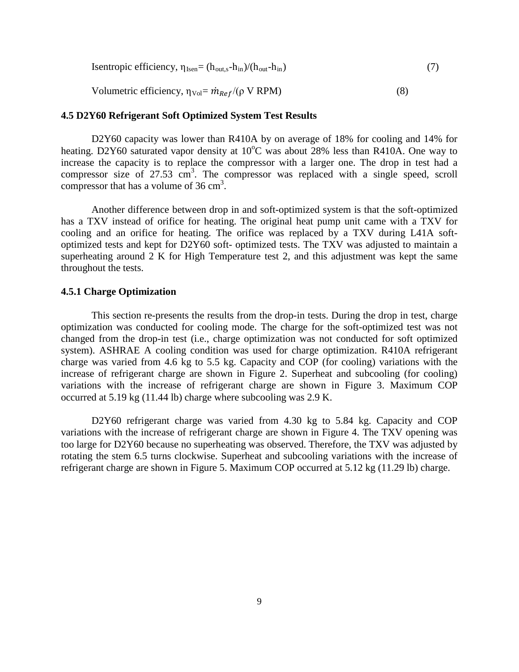Isentropic efficiency, 
$$
\eta_{Isen} = (h_{out,s} - h_{in})/(h_{out} - h_{in})
$$
 (7)  
Volumetric efficiency,  $\eta_{Vol} = \dot{m}_{Ref}/(\rho V RPM)$  (8)

# **4.5 D2Y60 Refrigerant Soft Optimized System Test Results**

D2Y60 capacity was lower than R410A by on average of 18% for cooling and 14% for heating. D2Y60 saturated vapor density at 10°C was about 28% less than R410A. One way to increase the capacity is to replace the compressor with a larger one. The drop in test had a compressor size of 27.53 cm<sup>3</sup>. The compressor was replaced with a single speed, scroll compressor that has a volume of  $36 \text{ cm}^3$ .

Another difference between drop in and soft-optimized system is that the soft-optimized has a TXV instead of orifice for heating. The original heat pump unit came with a TXV for cooling and an orifice for heating. The orifice was replaced by a TXV during L41A softoptimized tests and kept for D2Y60 soft- optimized tests. The TXV was adjusted to maintain a superheating around 2 K for High Temperature test 2, and this adjustment was kept the same throughout the tests.

#### **4.5.1 Charge Optimization**

This section re-presents the results from the drop-in tests. During the drop in test, charge optimization was conducted for cooling mode. The charge for the soft-optimized test was not changed from the drop-in test (i.e., charge optimization was not conducted for soft optimized system). ASHRAE A cooling condition was used for charge optimization. R410A refrigerant charge was varied from 4.6 kg to 5.5 kg. Capacity and COP (for cooling) variations with the increase of refrigerant charge are shown in Figure 2. Superheat and subcooling (for cooling) variations with the increase of refrigerant charge are shown in Figure 3. Maximum COP occurred at 5.19 kg (11.44 lb) charge where subcooling was 2.9 K.

D2Y60 refrigerant charge was varied from 4.30 kg to 5.84 kg. Capacity and COP variations with the increase of refrigerant charge are shown in Figure 4. The TXV opening was too large for D2Y60 because no superheating was observed. Therefore, the TXV was adjusted by rotating the stem 6.5 turns clockwise. Superheat and subcooling variations with the increase of refrigerant charge are shown in Figure 5. Maximum COP occurred at 5.12 kg (11.29 lb) charge.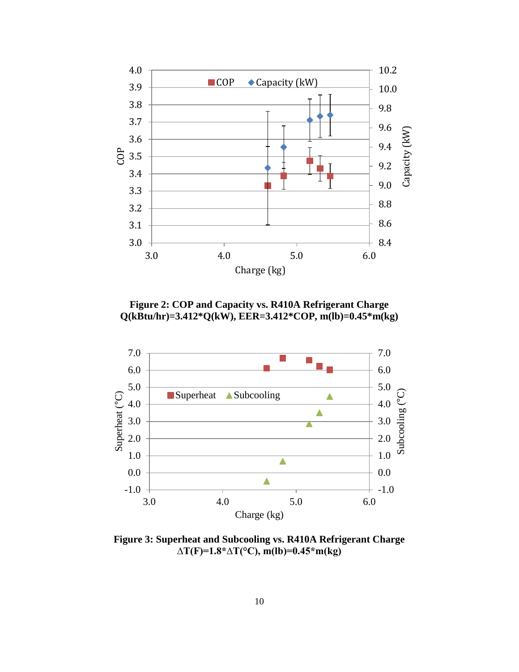

**Figure 2: COP and Capacity vs. R410A Refrigerant Charge Q(kBtu/hr)=3.412\*Q(kW), EER=3.412\*COP, m(lb)=0.45\*m(kg)**



**Figure 3: Superheat and Subcooling vs. R410A Refrigerant Charge ∆T(F)=1.8\*∆T(°C), m(lb)=0.45\*m(kg)**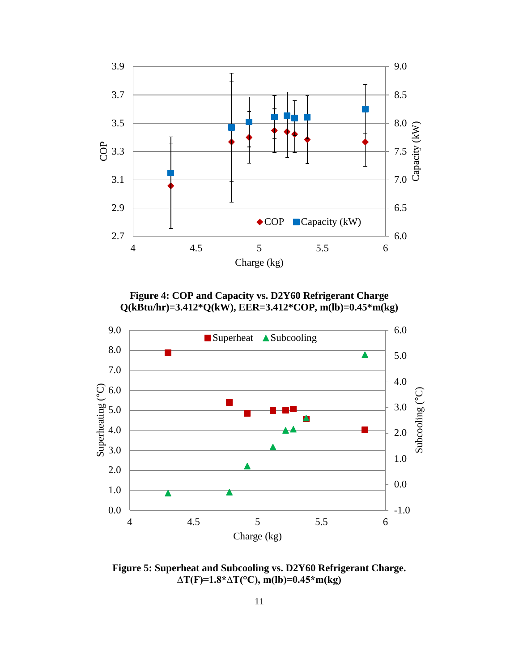

**Figure 4: COP and Capacity vs. D2Y60 Refrigerant Charge Q(kBtu/hr)=3.412\*Q(kW), EER=3.412\*COP, m(lb)=0.45\*m(kg)**



**Figure 5: Superheat and Subcooling vs. D2Y60 Refrigerant Charge. ∆T(F)=1.8\*∆T(°C), m(lb)=0.45\*m(kg)**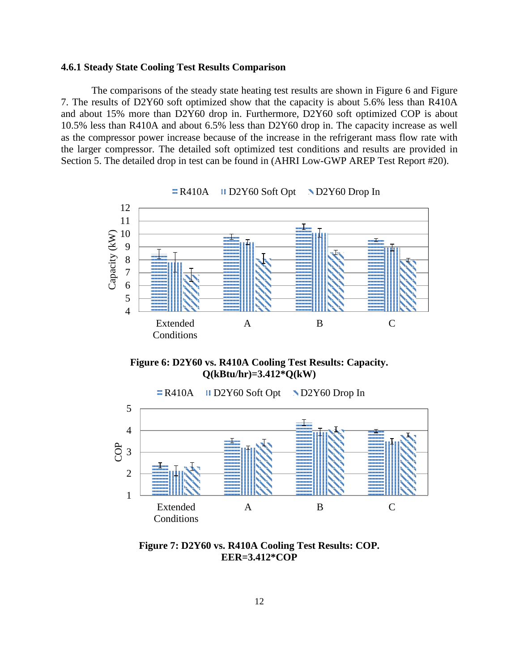#### **4.6.1 Steady State Cooling Test Results Comparison**

The comparisons of the steady state heating test results are shown in Figure 6 and Figure 7. The results of D2Y60 soft optimized show that the capacity is about 5.6% less than R410A and about 15% more than D2Y60 drop in. Furthermore, D2Y60 soft optimized COP is about 10.5% less than R410A and about 6.5% less than D2Y60 drop in. The capacity increase as well as the compressor power increase because of the increase in the refrigerant mass flow rate with the larger compressor. The detailed soft optimized test conditions and results are provided in Section 5. The detailed drop in test can be found in (AHRI Low-GWP AREP Test Report #20).



**Figure 6: D2Y60 vs. R410A Cooling Test Results: Capacity. Q(kBtu/hr)=3.412\*Q(kW)**



**Figure 7: D2Y60 vs. R410A Cooling Test Results: COP. EER=3.412\*COP**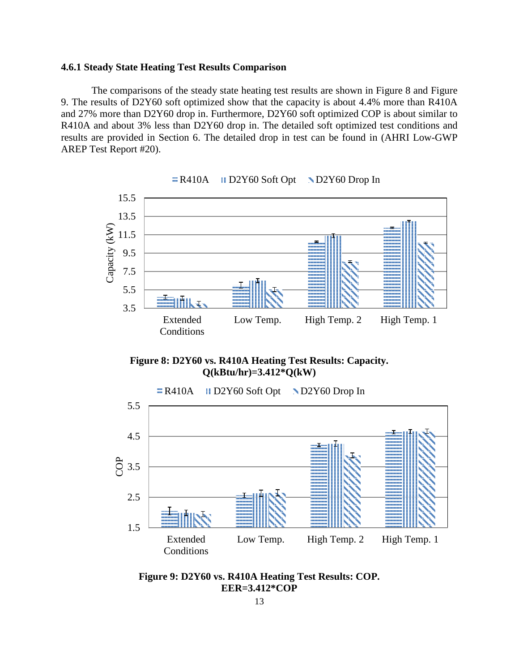#### **4.6.1 Steady State Heating Test Results Comparison**

The comparisons of the steady state heating test results are shown in Figure 8 and Figure 9. The results of D2Y60 soft optimized show that the capacity is about 4.4% more than R410A and 27% more than D2Y60 drop in. Furthermore, D2Y60 soft optimized COP is about similar to R410A and about 3% less than D2Y60 drop in. The detailed soft optimized test conditions and results are provided in Section 6. The detailed drop in test can be found in (AHRI Low-GWP AREP Test Report #20).





**Figure 8: D2Y60 vs. R410A Heating Test Results: Capacity. Q(kBtu/hr)=3.412\*Q(kW)**



**Figure 9: D2Y60 vs. R410A Heating Test Results: COP. EER=3.412\*COP**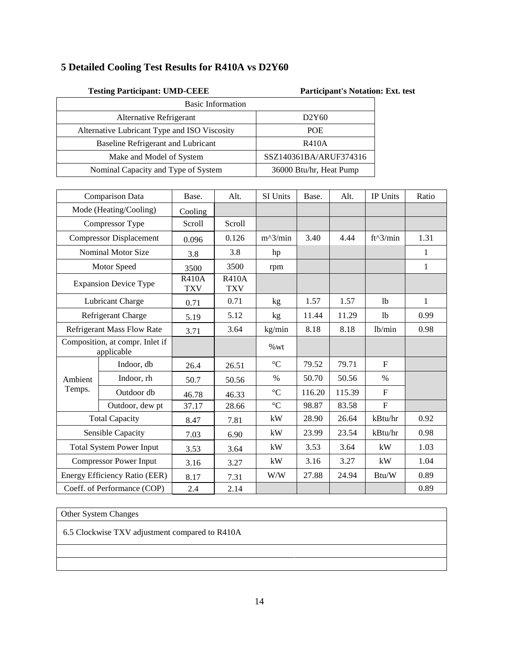# **5 Detailed Cooling Test Results for R410A vs D2Y60**

| <b>Testing Participant: UMD-CEEE</b>         | <b>Participant's Notation: Ext. test</b> |  |
|----------------------------------------------|------------------------------------------|--|
| <b>Basic Information</b>                     |                                          |  |
| Alternative Refrigerant                      | D2Y60                                    |  |
| Alternative Lubricant Type and ISO Viscosity | <b>POE</b>                               |  |
| Baseline Refrigerant and Lubricant           | <b>R410A</b>                             |  |
| Make and Model of System                     | SSZ140361BA/ARUF374316                   |  |
| Nominal Capacity and Type of System          | 36000 Btu/hr, Heat Pump                  |  |

|                                | <b>Comparison Data</b>                        | Base.                      | Alt.                       | SI Units        | Base.  | Alt.   | IP Units       | Ratio |
|--------------------------------|-----------------------------------------------|----------------------------|----------------------------|-----------------|--------|--------|----------------|-------|
|                                | Mode (Heating/Cooling)                        | Cooling                    |                            |                 |        |        |                |       |
|                                | Compressor Type                               | Scroll                     | Scroll                     |                 |        |        |                |       |
| <b>Compressor Displacement</b> |                                               | 0.096                      | 0.126                      | $m^2/$ min      | 3.40   | 4.44   | $ft^3/min$     | 1.31  |
|                                | <b>Nominal Motor Size</b>                     | 3.8                        | 3.8                        | hp              |        |        |                | 1     |
|                                | Motor Speed                                   | 3500                       | 3500                       | rpm             |        |        |                | 1     |
|                                | <b>Expansion Device Type</b>                  | <b>R410A</b><br><b>TXV</b> | <b>R410A</b><br><b>TXV</b> |                 |        |        |                |       |
|                                | Lubricant Charge                              | 0.71                       | 0.71                       | kg              | 1.57   | 1.57   | 1 <sub>b</sub> | 1     |
|                                | Refrigerant Charge                            | 5.19                       | 5.12                       | kg              | 11.44  | 11.29  | 1 <sub>b</sub> | 0.99  |
|                                | Refrigerant Mass Flow Rate                    | 3.71                       | 3.64                       | kg/min          | 8.18   | 8.18   | 1b/min         | 0.98  |
|                                | Composition, at compr. Inlet if<br>applicable |                            |                            | %wt             |        |        |                |       |
|                                | Indoor, db                                    | 26.4                       | 26.51                      | $\rm ^{\circ}C$ | 79.52  | 79.71  | $\mathbf{F}$   |       |
| Ambient                        | Indoor, rh                                    | 50.7                       | 50.56                      | $\%$            | 50.70  | 50.56  | $\%$           |       |
| Temps.                         | Outdoor db                                    | 46.78                      | 46.33                      | $\rm ^{\circ}C$ | 116.20 | 115.39 | $\mathbf{F}$   |       |
|                                | Outdoor, dew pt                               | 37.17                      | 28.66                      | $\rm ^{\circ}C$ | 98.87  | 83.58  | $\mathbf{F}$   |       |
|                                | <b>Total Capacity</b>                         | 8.47                       | 7.81                       | kW              | 28.90  | 26.64  | kBtu/hr        | 0.92  |
|                                | Sensible Capacity                             | 7.03                       | 6.90                       | kW              | 23.99  | 23.54  | kBtu/hr        | 0.98  |
|                                | <b>Total System Power Input</b>               | 3.53                       | 3.64                       | kW              | 3.53   | 3.64   | kW             | 1.03  |
|                                | <b>Compressor Power Input</b>                 | 3.16                       | 3.27                       | kW              | 3.16   | 3.27   | kW             | 1.04  |
|                                | Energy Efficiency Ratio (EER)                 | 8.17                       | 7.31                       | W/W             | 27.88  | 24.94  | Btu/W          | 0.89  |
|                                | Coeff. of Performance (COP)                   | 2.4                        | 2.14                       |                 |        |        |                | 0.89  |

Other System Changes

6.5 Clockwise TXV adjustment compared to R410A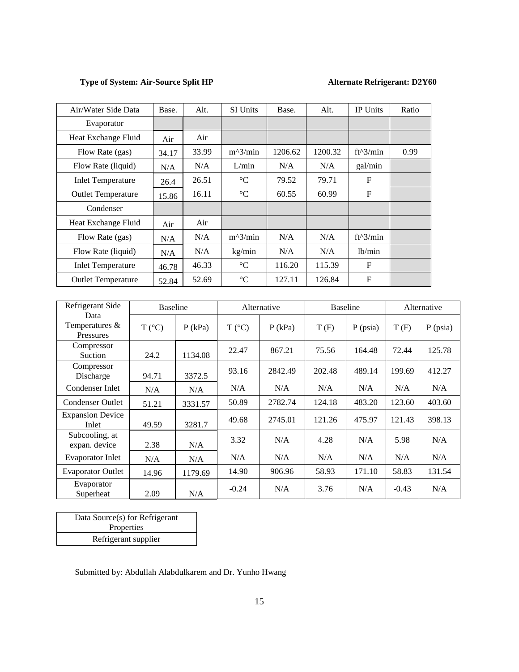# **Type of System: Air-Source Split HP Alternate Refrigerant: D2Y60**

| Air/Water Side Data       | Base. | Alt.  | <b>SI</b> Units | Base.   | Alt.    | <b>IP</b> Units     | Ratio |
|---------------------------|-------|-------|-----------------|---------|---------|---------------------|-------|
| Evaporator                |       |       |                 |         |         |                     |       |
| Heat Exchange Fluid       | Air   | Air   |                 |         |         |                     |       |
| Flow Rate (gas)           | 34.17 | 33.99 | $m^2/$ min      | 1206.62 | 1200.32 | ft^3/min            | 0.99  |
| Flow Rate (liquid)        | N/A   | N/A   | L/min           | N/A     | N/A     | gal/min             |       |
| <b>Inlet Temperature</b>  | 26.4  | 26.51 | $\rm ^{\circ}C$ | 79.52   | 79.71   | $\mathbf F$         |       |
| <b>Outlet Temperature</b> | 15.86 | 16.11 | $\rm ^{\circ}C$ | 60.55   | 60.99   | $\mathbf F$         |       |
| Condenser                 |       |       |                 |         |         |                     |       |
| Heat Exchange Fluid       | Air   | Air   |                 |         |         |                     |       |
| Flow Rate (gas)           | N/A   | N/A   | $m^2/$ min      | N/A     | N/A     | $ft^3/min$          |       |
| Flow Rate (liquid)        | N/A   | N/A   | kg/min          | N/A     | N/A     | 1 <sub>b</sub> /min |       |
| <b>Inlet Temperature</b>  | 46.78 | 46.33 | $\rm ^{\circ}C$ | 116.20  | 115.39  | F                   |       |
| <b>Outlet Temperature</b> | 52.84 | 52.69 | $\rm ^{\circ}C$ | 127.11  | 126.84  | $\mathbf{F}$        |       |

| Refrigerant Side                      | <b>Baseline</b> |           |                 | Alternative | <b>Baseline</b> |            | Alternative |            |
|---------------------------------------|-----------------|-----------|-----------------|-------------|-----------------|------------|-------------|------------|
| Data<br>Temperatures $&$<br>Pressures | $T (^{\circ}C)$ | $P$ (kPa) | $T (^{\circ}C)$ | $P$ (kPa)   | T(F)            | $P$ (psia) | T(F)        | $P$ (psia) |
| Compressor<br>Suction                 | 24.2            | 1134.08   | 22.47           | 867.21      | 75.56           | 164.48     | 72.44       | 125.78     |
| Compressor<br>Discharge               | 94.71           | 3372.5    | 93.16           | 2842.49     | 202.48          | 489.14     | 199.69      | 412.27     |
| Condenser Inlet                       | N/A             | N/A       | N/A             | N/A         | N/A             | N/A        | N/A         | N/A        |
| <b>Condenser Outlet</b>               | 51.21           | 3331.57   | 50.89           | 2782.74     | 124.18          | 483.20     | 123.60      | 403.60     |
| <b>Expansion Device</b><br>Inlet      | 49.59           | 3281.7    | 49.68           | 2745.01     | 121.26          | 475.97     | 121.43      | 398.13     |
| Subcooling, at<br>expan. device       | 2.38            | N/A       | 3.32            | N/A         | 4.28            | N/A        | 5.98        | N/A        |
| Evaporator Inlet                      | N/A             | N/A       | N/A             | N/A         | N/A             | N/A        | N/A         | N/A        |
| <b>Evaporator Outlet</b>              | 14.96           | 1179.69   | 14.90           | 906.96      | 58.93           | 171.10     | 58.83       | 131.54     |
| Evaporator<br>Superheat               | 2.09            | N/A       | $-0.24$         | N/A         | 3.76            | N/A        | $-0.43$     | N/A        |

| Data Source(s) for Refrigerant |
|--------------------------------|
| Properties                     |
| Refrigerant supplier           |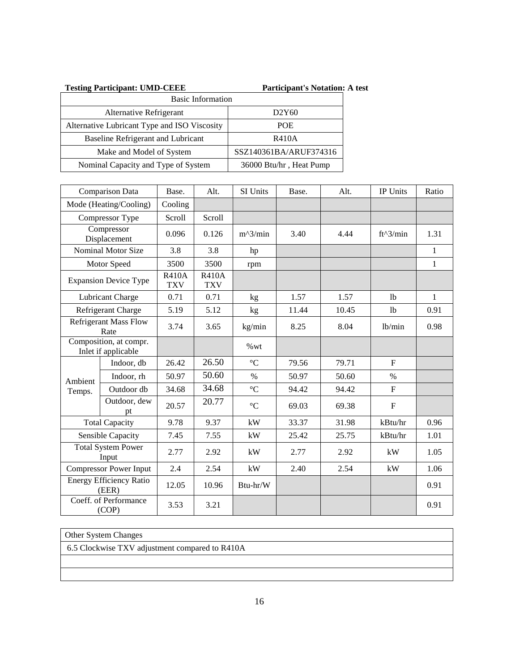| <b>Testing Participant: UMD-CEEE</b>         | <b>Participant's Notation: A test</b> |
|----------------------------------------------|---------------------------------------|
| <b>Basic Information</b>                     |                                       |
| Alternative Refrigerant                      | D <sub>2</sub> Y <sub>60</sub>        |
| Alternative Lubricant Type and ISO Viscosity | <b>POE</b>                            |
| Baseline Refrigerant and Lubricant           | <b>R410A</b>                          |
| Make and Model of System                     | SSZ140361BA/ARUF374316                |
| Nominal Capacity and Type of System          | 36000 Btu/hr, Heat Pump               |

|                                    | Comparison Data                               | Base.                      | Alt.                       | SI Units        | Base. | Alt.  | IP Units       | Ratio        |
|------------------------------------|-----------------------------------------------|----------------------------|----------------------------|-----------------|-------|-------|----------------|--------------|
| Mode (Heating/Cooling)             |                                               | Cooling                    |                            |                 |       |       |                |              |
| Compressor Type                    |                                               | Scroll                     | Scroll                     |                 |       |       |                |              |
| Compressor<br>Displacement         |                                               | 0.096                      | 0.126                      | $m^2/$ min      | 3.40  | 4.44  | $ft^3/min$     | 1.31         |
|                                    | <b>Nominal Motor Size</b>                     | 3.8                        | 3.8                        | hp              |       |       |                | $\mathbf{1}$ |
|                                    | Motor Speed                                   | 3500                       | 3500                       | rpm             |       |       |                | $\mathbf{1}$ |
|                                    | <b>Expansion Device Type</b>                  | <b>R410A</b><br><b>TXV</b> | <b>R410A</b><br><b>TXV</b> |                 |       |       |                |              |
| Lubricant Charge                   |                                               | 0.71                       | 0.71                       | kg              | 1.57  | 1.57  | 1 <sub>b</sub> | $\mathbf{1}$ |
|                                    | Refrigerant Charge                            | 5.19                       | 5.12                       | kg              | 11.44 | 10.45 | 1 <sub>b</sub> | 0.91         |
|                                    | <b>Refrigerant Mass Flow</b><br>Rate          | 3.74                       | 3.65                       | kg/min          | 8.25  | 8.04  | lb/min         | 0.98         |
|                                    | Composition, at compr.<br>Inlet if applicable |                            |                            | %wt             |       |       |                |              |
|                                    | Indoor, db                                    | 26.42                      | 26.50                      | $\rm ^{\circ}C$ | 79.56 | 79.71 | $\mathbf F$    |              |
| Ambient                            | Indoor, rh                                    | 50.97                      | 50.60                      | $\%$            | 50.97 | 50.60 | $\%$           |              |
| Temps.                             | Outdoor db                                    | 34.68                      | 34.68                      | $\rm ^{\circ}C$ | 94.42 | 94.42 | $\mathbf F$    |              |
|                                    | Outdoor, dew<br>pt                            | 20.57                      | 20.77                      | $\rm ^{\circ}C$ | 69.03 | 69.38 | $\mathbf F$    |              |
|                                    | <b>Total Capacity</b>                         | 9.78                       | 9.37                       | kW              | 33.37 | 31.98 | kBtu/hr        | 0.96         |
|                                    | Sensible Capacity                             | 7.45                       | 7.55                       | kW              | 25.42 | 25.75 | kBtu/hr        | 1.01         |
| <b>Total System Power</b><br>Input |                                               | 2.77                       | 2.92                       | kW              | 2.77  | 2.92  | kW             | 1.05         |
|                                    | <b>Compressor Power Input</b>                 | 2.4                        | 2.54                       | kW              | 2.40  | 2.54  | kW             | 1.06         |
|                                    | <b>Energy Efficiency Ratio</b><br>(EER)       | 12.05                      | 10.96                      | Btu-hr/W        |       |       |                | 0.91         |
|                                    | Coeff. of Performance<br>(COP)                | 3.53                       | 3.21                       |                 |       |       |                | 0.91         |

# Other System Changes

6.5 Clockwise TXV adjustment compared to R410A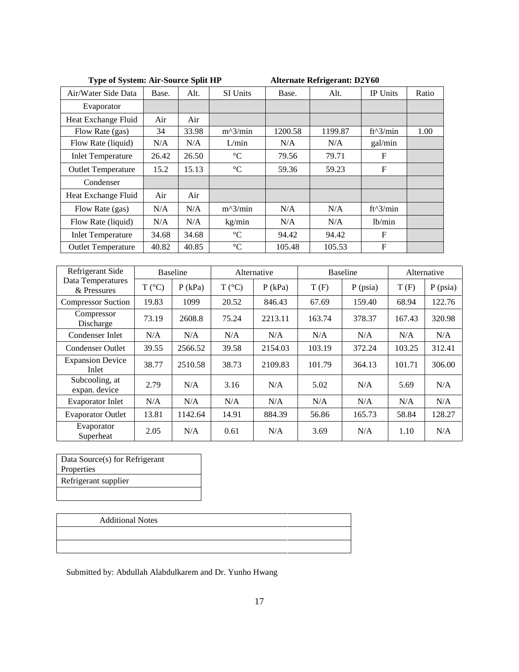| <b>Type of System: Air-Source Split HP</b> |       |       |                 |         | <b>Alternate Refrigerant: D2Y60</b> |                 |       |
|--------------------------------------------|-------|-------|-----------------|---------|-------------------------------------|-----------------|-------|
| Air/Water Side Data                        | Base. | Alt.  | <b>SI Units</b> | Base.   | Alt.                                | <b>IP Units</b> | Ratio |
| Evaporator                                 |       |       |                 |         |                                     |                 |       |
| Heat Exchange Fluid                        | Air   | Air   |                 |         |                                     |                 |       |
| Flow Rate (gas)                            | 34    | 33.98 | $m^2/$ min      | 1200.58 | 1199.87                             | ft^3/min        | 1.00  |
| Flow Rate (liquid)                         | N/A   | N/A   | L/min           | N/A     | N/A                                 | gal/min         |       |
| <b>Inlet Temperature</b>                   | 26.42 | 26.50 | $\rm ^{\circ}C$ | 79.56   | 79.71                               | F               |       |
| <b>Outlet Temperature</b>                  | 15.2  | 15.13 | $\rm ^{\circ}C$ | 59.36   | 59.23                               | F               |       |
| Condenser                                  |       |       |                 |         |                                     |                 |       |
| Heat Exchange Fluid                        | Air   | Air   |                 |         |                                     |                 |       |
| Flow Rate (gas)                            | N/A   | N/A   | $m^2/$ min      | N/A     | N/A                                 | ft^3/min        |       |
| Flow Rate (liquid)                         | N/A   | N/A   | kg/min          | N/A     | N/A                                 | 1b/min          |       |
| <b>Inlet Temperature</b>                   | 34.68 | 34.68 | $\rm ^{\circ}C$ | 94.42   | 94.42                               | F               |       |
| <b>Outlet Temperature</b>                  | 40.82 | 40.85 | $\rm ^{\circ}C$ | 105.48  | 105.53                              | F               |       |

| Refrigerant Side                 | <b>Baseline</b> |           |                 | Alternative |        | <b>Baseline</b> | Alternative |            |
|----------------------------------|-----------------|-----------|-----------------|-------------|--------|-----------------|-------------|------------|
| Data Temperatures<br>& Pressures | $T (^{\circ}C)$ | $P$ (kPa) | $T (^{\circ}C)$ | $P$ (kPa)   | T(F)   | $P$ (psia)      | T(F)        | $P$ (psia) |
| <b>Compressor Suction</b>        | 19.83           | 1099      | 20.52           | 846.43      | 67.69  | 159.40          | 68.94       | 122.76     |
| Compressor<br>Discharge          | 73.19           | 2608.8    | 75.24           | 2213.11     | 163.74 | 378.37          | 167.43      | 320.98     |
| Condenser Inlet                  | N/A             | N/A       | N/A             | N/A         | N/A    | N/A             | N/A         | N/A        |
| Condenser Outlet                 | 39.55           | 2566.52   | 39.58           | 2154.03     | 103.19 | 372.24          | 103.25      | 312.41     |
| <b>Expansion Device</b><br>Inlet | 38.77           | 2510.58   | 38.73           | 2109.83     | 101.79 | 364.13          | 101.71      | 306.00     |
| Subcooling, at<br>expan. device  | 2.79            | N/A       | 3.16            | N/A         | 5.02   | N/A             | 5.69        | N/A        |
| <b>Evaporator Inlet</b>          | N/A             | N/A       | N/A             | N/A         | N/A    | N/A             | N/A         | N/A        |
| <b>Evaporator Outlet</b>         | 13.81           | 1142.64   | 14.91           | 884.39      | 56.86  | 165.73          | 58.84       | 128.27     |
| Evaporator<br>Superheat          | 2.05            | N/A       | 0.61            | N/A         | 3.69   | N/A             | 1.10        | N/A        |

Data Source(s) for Refrigerant Properties Refrigerant supplier

# Additional Notes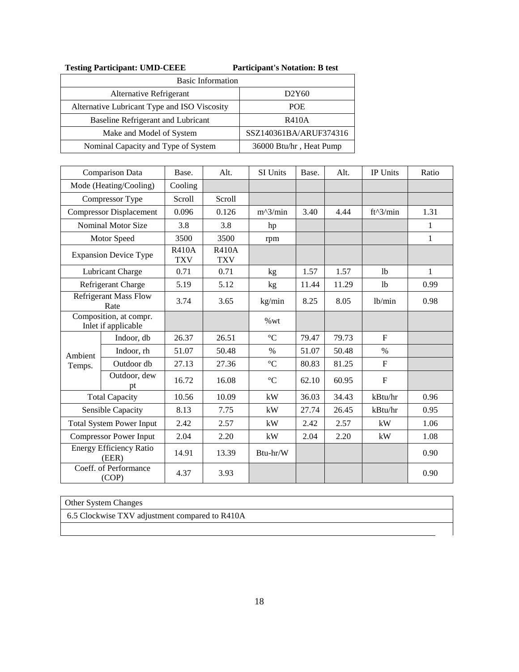| <b>Testing Participant: UMD-CEEE</b> | <b>Participant's Notation: B test</b> |
|--------------------------------------|---------------------------------------|
|--------------------------------------|---------------------------------------|

| <b>Basic Information</b>                     |                                |  |  |  |  |  |
|----------------------------------------------|--------------------------------|--|--|--|--|--|
| Alternative Refrigerant                      | D <sub>2</sub> Y <sub>60</sub> |  |  |  |  |  |
| Alternative Lubricant Type and ISO Viscosity | <b>POE</b>                     |  |  |  |  |  |
| Baseline Refrigerant and Lubricant           | <b>R410A</b>                   |  |  |  |  |  |
| Make and Model of System                     | SSZ140361BA/ARUF374316         |  |  |  |  |  |
| Nominal Capacity and Type of System          | 36000 Btu/hr, Heat Pump        |  |  |  |  |  |

|                        | <b>Comparison Data</b>                        | Base.                      | Alt.                       | SI Units        | Base. | Alt.  | IP Units       | Ratio        |
|------------------------|-----------------------------------------------|----------------------------|----------------------------|-----------------|-------|-------|----------------|--------------|
| Mode (Heating/Cooling) |                                               | Cooling                    |                            |                 |       |       |                |              |
|                        | Compressor Type                               | Scroll                     | Scroll                     |                 |       |       |                |              |
|                        | <b>Compressor Displacement</b>                | 0.096                      | 0.126                      | $m^2/$ min      | 3.40  | 4.44  | $ft^3/min$     | 1.31         |
|                        | <b>Nominal Motor Size</b>                     | 3.8                        | 3.8                        | hp              |       |       |                | 1            |
|                        | Motor Speed                                   | 3500                       | 3500                       | rpm             |       |       |                | 1            |
|                        | <b>Expansion Device Type</b>                  | <b>R410A</b><br><b>TXV</b> | <b>R410A</b><br><b>TXV</b> |                 |       |       |                |              |
|                        | Lubricant Charge                              | 0.71                       | 0.71                       | kg              | 1.57  | 1.57  | 1 <sub>b</sub> | $\mathbf{1}$ |
|                        | Refrigerant Charge                            | 5.19                       | 5.12                       | kg              | 11.44 | 11.29 | 1 <sub>b</sub> | 0.99         |
|                        | <b>Refrigerant Mass Flow</b><br>Rate          | 3.74                       | 3.65                       | kg/min          | 8.25  | 8.05  | 1b/min         | 0.98         |
|                        | Composition, at compr.<br>Inlet if applicable |                            |                            | %wt             |       |       |                |              |
|                        | Indoor, db                                    | 26.37                      | 26.51                      | $\rm ^{\circ}C$ | 79.47 | 79.73 | $F_{\rm}$      |              |
| Ambient                | Indoor, rh                                    | 51.07                      | 50.48                      | $\%$            | 51.07 | 50.48 | $\%$           |              |
| Temps.                 | Outdoor db                                    | 27.13                      | 27.36                      | $\rm ^{\circ}C$ | 80.83 | 81.25 | $\mathbf{F}$   |              |
|                        | Outdoor, dew<br>pt                            | 16.72                      | 16.08                      | $\rm ^{\circ}C$ | 62.10 | 60.95 | $\mathbf{F}$   |              |
|                        | <b>Total Capacity</b>                         | 10.56                      | 10.09                      | kW              | 36.03 | 34.43 | kBtu/hr        | 0.96         |
|                        | Sensible Capacity                             | 8.13                       | 7.75                       | kW              | 27.74 | 26.45 | kBtu/hr        | 0.95         |
|                        | <b>Total System Power Input</b>               | 2.42                       | 2.57                       | kW              | 2.42  | 2.57  | kW             | 1.06         |
|                        | <b>Compressor Power Input</b>                 | 2.04                       | 2.20                       | kW              | 2.04  | 2.20  | kW             | 1.08         |
|                        | <b>Energy Efficiency Ratio</b><br>(EER)       | 14.91                      | 13.39                      | Btu-hr/W        |       |       |                | 0.90         |
|                        | Coeff. of Performance<br>(COP)                | 4.37                       | 3.93                       |                 |       |       |                | 0.90         |

Other System Changes

6.5 Clockwise TXV adjustment compared to R410A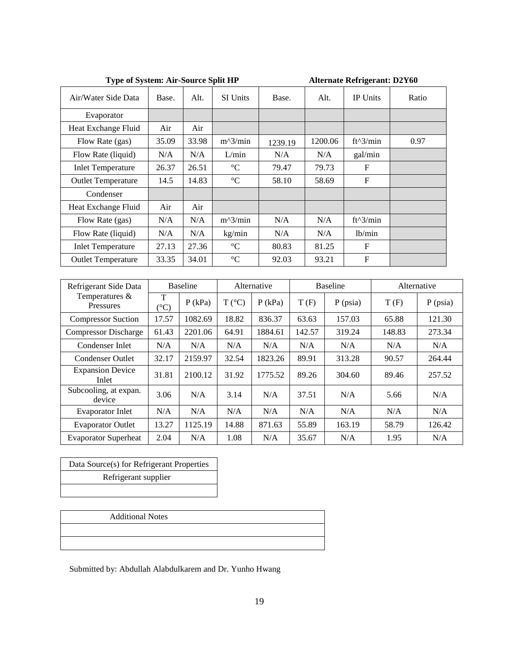|                           | <b>Type of System: Air-Source Split HP</b> |                 |                      |         |  |                 |                 |  | <b>Alternate Refrigerant: D2Y60</b> |  |  |  |
|---------------------------|--------------------------------------------|-----------------|----------------------|---------|--|-----------------|-----------------|--|-------------------------------------|--|--|--|
| Air/Water Side Data       | Base.                                      | Alt.            | <b>SI</b> Units      | Base.   |  | Alt.            | <b>IP</b> Units |  | Ratio                               |  |  |  |
| Evaporator                |                                            |                 |                      |         |  |                 |                 |  |                                     |  |  |  |
| Heat Exchange Fluid       | Air                                        | Air             |                      |         |  |                 |                 |  |                                     |  |  |  |
| Flow Rate (gas)           | 35.09                                      | 33.98           | $m^2/$ min           | 1239.19 |  | 1200.06         | $ft^3/min$      |  | 0.97                                |  |  |  |
| Flow Rate (liquid)        | N/A                                        | N/A             | L/min                | N/A     |  | N/A             | gal/min         |  |                                     |  |  |  |
| <b>Inlet Temperature</b>  | 26.37                                      | 26.51           | $\rm ^{\circ}C$      | 79.47   |  | 79.73           | $\mathbf F$     |  |                                     |  |  |  |
| <b>Outlet Temperature</b> | 14.5                                       | 14.83           | $\rm ^{\circ}C$      | 58.10   |  | 58.69           | F               |  |                                     |  |  |  |
| Condenser                 |                                            |                 |                      |         |  |                 |                 |  |                                     |  |  |  |
| Heat Exchange Fluid       | Air                                        | Air             |                      |         |  |                 |                 |  |                                     |  |  |  |
| Flow Rate (gas)           | N/A                                        | N/A             | $m^2/$ min           | N/A     |  | N/A             | $ft^3/min$      |  |                                     |  |  |  |
| Flow Rate (liquid)        | N/A                                        | N/A             | kg/min               | N/A     |  | N/A             | lb/min          |  |                                     |  |  |  |
| <b>Inlet Temperature</b>  | 27.13                                      | 27.36           | $\rm ^{\circ}C$      | 80.83   |  | 81.25           | $\mathbf F$     |  |                                     |  |  |  |
| <b>Outlet Temperature</b> | 33.35                                      | 34.01           | $^{\circ}\mathrm{C}$ | 92.03   |  | 93.21           | $\mathbf{F}$    |  |                                     |  |  |  |
|                           |                                            |                 |                      |         |  |                 |                 |  |                                     |  |  |  |
| Refrigerant Side Data     |                                            | <b>Baseline</b> | Alternative          |         |  | <b>Baseline</b> |                 |  | Alternative                         |  |  |  |
| Temperatures $\&$         | $\mathbf{T}$                               |                 |                      |         |  |                 |                 |  |                                     |  |  |  |

| Refrigerant Side Data            | <b>Baseline</b>      |           | Alternative     |           |        | <b>Baseline</b> | Alternative |            |  |
|----------------------------------|----------------------|-----------|-----------------|-----------|--------|-----------------|-------------|------------|--|
| Temperatures &<br>Pressures      | T<br>$({}^{\circ}C)$ | $P$ (kPa) | $T (^{\circ}C)$ | $P$ (kPa) | T(F)   | $P$ (psia)      | T(F)        | $P$ (psia) |  |
| <b>Compressor Suction</b>        | 17.57                | 1082.69   | 18.82           | 836.37    | 63.63  | 157.03          | 65.88       | 121.30     |  |
| <b>Compressor Discharge</b>      | 61.43                | 2201.06   | 64.91           | 1884.61   | 142.57 | 319.24          | 148.83      | 273.34     |  |
| Condenser Inlet                  | N/A                  | N/A       | N/A             | N/A       | N/A    | N/A             | N/A         | N/A        |  |
| <b>Condenser Outlet</b>          | 32.17                | 2159.97   | 32.54           | 1823.26   | 89.91  | 313.28          | 90.57       | 264.44     |  |
| <b>Expansion Device</b><br>Inlet | 31.81                | 2100.12   | 31.92           | 1775.52   | 89.26  | 304.60          | 89.46       | 257.52     |  |
| Subcooling, at expan.<br>device  | 3.06                 | N/A       | 3.14            | N/A       | 37.51  | N/A             | 5.66        | N/A        |  |
| <b>Evaporator Inlet</b>          | N/A                  | N/A       | N/A             | N/A       | N/A    | N/A             | N/A         | N/A        |  |
| <b>Evaporator Outlet</b>         | 13.27                | 1125.19   | 14.88           | 871.63    | 55.89  | 163.19          | 58.79       | 126.42     |  |
| <b>Evaporator Superheat</b>      | 2.04                 | N/A       | 1.08            | N/A       | 35.67  | N/A             | 1.95        | N/A        |  |

٦

Data Source(s) for Refrigerant Properties Refrigerant supplier

Additional Notes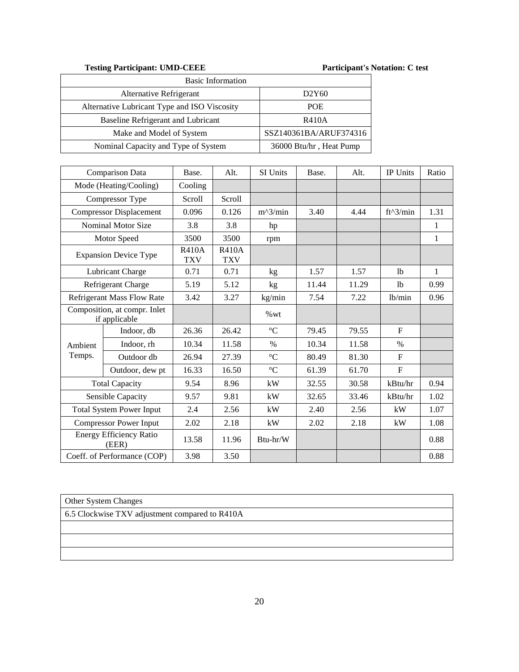Testing Participant: UMD-CEEE Participant's Notation: C test

| <b>Basic Information</b>                     |                                |  |  |  |  |  |
|----------------------------------------------|--------------------------------|--|--|--|--|--|
| Alternative Refrigerant                      | D <sub>2</sub> Y <sub>60</sub> |  |  |  |  |  |
| Alternative Lubricant Type and ISO Viscosity | <b>POE</b>                     |  |  |  |  |  |
| Baseline Refrigerant and Lubricant           | <b>R410A</b>                   |  |  |  |  |  |
| Make and Model of System                     | SSZ140361BA/ARUF374316         |  |  |  |  |  |
| Nominal Capacity and Type of System          | 36000 Btu/hr, Heat Pump        |  |  |  |  |  |

|                                 | Comparison Data                               | Base.                      | Alt.                       | SI Units        | Base. | Alt.  | IP Units       | Ratio        |
|---------------------------------|-----------------------------------------------|----------------------------|----------------------------|-----------------|-------|-------|----------------|--------------|
|                                 | Mode (Heating/Cooling)                        | Cooling                    |                            |                 |       |       |                |              |
|                                 | Compressor Type                               | <b>Scroll</b>              | Scroll                     |                 |       |       |                |              |
|                                 | <b>Compressor Displacement</b>                | 0.096                      | 0.126                      | $m^2/$ min      | 3.40  | 4.44  | $ft^3/min$     | 1.31         |
|                                 | Nominal Motor Size                            | 3.8                        | 3.8                        | hp              |       |       |                | 1            |
|                                 | Motor Speed                                   | 3500                       | 3500                       | rpm             |       |       |                | $\mathbf{1}$ |
|                                 | <b>Expansion Device Type</b>                  | <b>R410A</b><br><b>TXV</b> | <b>R410A</b><br><b>TXV</b> |                 |       |       |                |              |
|                                 | Lubricant Charge                              | 0.71                       | 0.71                       | kg              | 1.57  | 1.57  | 1 <sub>b</sub> | $\mathbf{1}$ |
|                                 | Refrigerant Charge                            | 5.19                       | 5.12                       | kg              | 11.44 | 11.29 | 1 <sub>b</sub> | 0.99         |
|                                 | Refrigerant Mass Flow Rate                    | 3.42                       | 3.27                       | kg/min          | 7.54  | 7.22  | 1b/min         | 0.96         |
|                                 | Composition, at compr. Inlet<br>if applicable |                            |                            | %wt             |       |       |                |              |
|                                 | Indoor, db                                    | 26.36                      | 26.42                      | $\rm ^{\circ}C$ | 79.45 | 79.55 | $\mathbf{F}$   |              |
| Ambient                         | Indoor, rh                                    | 10.34                      | 11.58                      | $\%$            | 10.34 | 11.58 | $\%$           |              |
| Temps.                          | Outdoor db                                    | 26.94                      | 27.39                      | $\rm ^{\circ}C$ | 80.49 | 81.30 | $\mathbf{F}$   |              |
|                                 | Outdoor, dew pt                               | 16.33                      | 16.50                      | $\rm ^{\circ}C$ | 61.39 | 61.70 | $\overline{F}$ |              |
|                                 | <b>Total Capacity</b>                         | 9.54                       | 8.96                       | kW              | 32.55 | 30.58 | kBtu/hr        | 0.94         |
|                                 | Sensible Capacity                             | 9.57                       | 9.81                       | kW              | 32.65 | 33.46 | kBtu/hr        | 1.02         |
| <b>Total System Power Input</b> |                                               | 2.4                        | 2.56                       | kW              | 2.40  | 2.56  | kW             | 1.07         |
|                                 | <b>Compressor Power Input</b>                 | 2.02                       | 2.18                       | kW              | 2.02  | 2.18  | kW             | 1.08         |
|                                 | <b>Energy Efficiency Ratio</b><br>(EER)       | 13.58                      | 11.96                      | Btu-hr/W        |       |       |                | 0.88         |
|                                 | Coeff. of Performance (COP)                   | 3.98                       | 3.50                       |                 |       |       |                | 0.88         |

Other System Changes

6.5 Clockwise TXV adjustment compared to R410A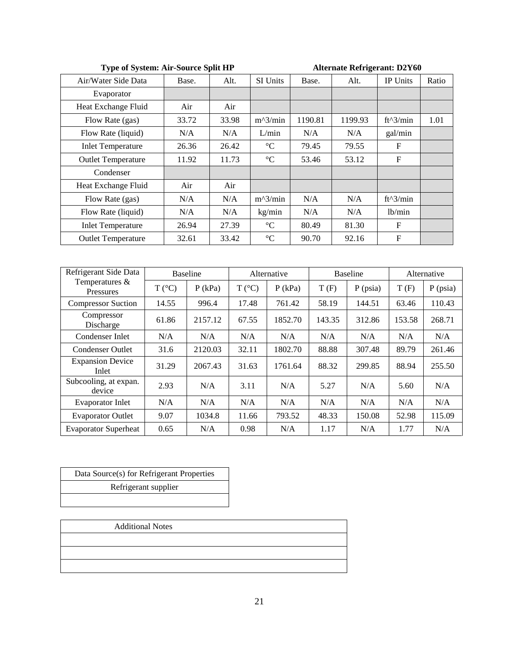**Alternate Refrigerant: D2Y60** 

| Air/Water Side Data       | Base. | Alt.  | <b>SI Units</b> | Base.   | Alt.    | <b>IP Units</b> | Ratio |
|---------------------------|-------|-------|-----------------|---------|---------|-----------------|-------|
| Evaporator                |       |       |                 |         |         |                 |       |
| Heat Exchange Fluid       | Air   | Air   |                 |         |         |                 |       |
| Flow Rate (gas)           | 33.72 | 33.98 | $m^2/$ min      | 1190.81 | 1199.93 | $ft^3/min$      | 1.01  |
| Flow Rate (liquid)        | N/A   | N/A   | L/min           | N/A     | N/A     | gal/min         |       |
| <b>Inlet Temperature</b>  | 26.36 | 26.42 | $\rm ^{\circ}C$ | 79.45   | 79.55   | $\mathbf{F}$    |       |
| <b>Outlet Temperature</b> | 11.92 | 11.73 | $\rm ^{\circ}C$ | 53.46   | 53.12   | $\mathbf F$     |       |
| Condenser                 |       |       |                 |         |         |                 |       |
| Heat Exchange Fluid       | Air   | Air   |                 |         |         |                 |       |
| Flow Rate (gas)           | N/A   | N/A   | $m^2/$ min      | N/A     | N/A     | $ft^3/min$      |       |
| Flow Rate (liquid)        | N/A   | N/A   | kg/min          | N/A     | N/A     | lb/min          |       |
| <b>Inlet Temperature</b>  | 26.94 | 27.39 | $\rm ^{\circ}C$ | 80.49   | 81.30   | F               |       |
| <b>Outlet Temperature</b> | 32.61 | 33.42 | $\rm ^{\circ}C$ | 90.70   | 92.16   | F               |       |

| Refrigerant Side Data                 |                 | <b>Baseline</b> |                 | Alternative | <b>Baseline</b> |            | Alternative |            |
|---------------------------------------|-----------------|-----------------|-----------------|-------------|-----------------|------------|-------------|------------|
| Temperatures $\&$<br><b>Pressures</b> | $T (^{\circ}C)$ | $P$ (kPa)       | $T (^{\circ}C)$ | $P$ (kPa)   | T(F)            | $P$ (psia) | T(F)        | $P$ (psia) |
| <b>Compressor Suction</b>             | 14.55           | 996.4           | 17.48           | 761.42      | 58.19           | 144.51     | 63.46       | 110.43     |
| Compressor<br>Discharge               | 61.86           | 2157.12         | 67.55           | 1852.70     | 143.35          | 312.86     | 153.58      | 268.71     |
| Condenser Inlet                       | N/A             | N/A             | N/A             | N/A         | N/A             | N/A        | N/A         | N/A        |
| Condenser Outlet                      | 31.6            | 2120.03         | 32.11           | 1802.70     | 88.88           | 307.48     | 89.79       | 261.46     |
| <b>Expansion Device</b><br>Inlet      | 31.29           | 2067.43         | 31.63           | 1761.64     | 88.32           | 299.85     | 88.94       | 255.50     |
| Subcooling, at expan.<br>device       | 2.93            | N/A             | 3.11            | N/A         | 5.27            | N/A        | 5.60        | N/A        |
| <b>Evaporator Inlet</b>               | N/A             | N/A             | N/A             | N/A         | N/A             | N/A        | N/A         | N/A        |
| <b>Evaporator Outlet</b>              | 9.07            | 1034.8          | 11.66           | 793.52      | 48.33           | 150.08     | 52.98       | 115.09     |
| <b>Evaporator Superheat</b>           | 0.65            | N/A             | 0.98            | N/A         | 1.17            | N/A        | 1.77        | N/A        |

Data Source(s) for Refrigerant Properties Refrigerant supplier

Additional Notes

21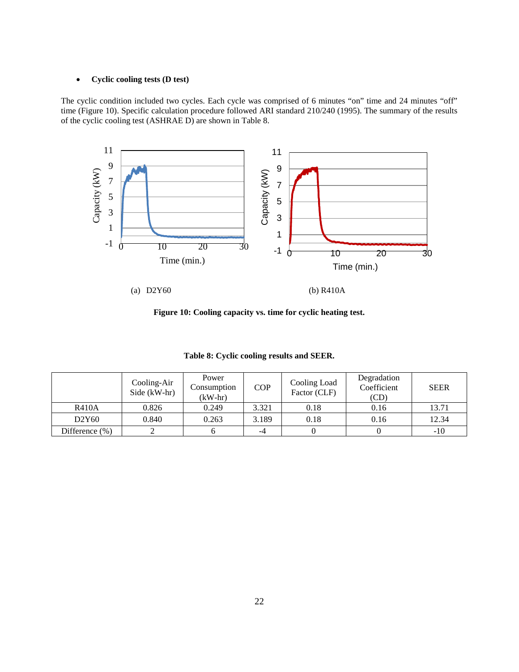#### • **Cyclic cooling tests (D test)**

The cyclic condition included two cycles. Each cycle was comprised of 6 minutes "on" time and 24 minutes "off" time (Figure 10). Specific calculation procedure followed ARI standard 210/240 (1995). The summary of the results of the cyclic cooling test (ASHRAE D) are shown in Table 8.



**Figure 10: Cooling capacity vs. time for cyclic heating test.**

|                    | Cooling-Air<br>Side (kW-hr) | Power<br>Consumption<br>$(kW-hr)$ | <b>COP</b> | Cooling Load<br>Factor (CLF) | Degradation<br>Coefficient<br>(CD) | <b>SEER</b> |
|--------------------|-----------------------------|-----------------------------------|------------|------------------------------|------------------------------------|-------------|
| <b>R410A</b>       | 0.826                       | 0.249                             | 3.321      | 0.18                         | 0.16                               | 13.71       |
| D2Y60              | 0.840                       | 0.263                             | 3.189      | 0.18                         | 0.16                               | 12.34       |
| Difference $(\% )$ |                             |                                   | -4         |                              |                                    | $-10$       |

**Table 8: Cyclic cooling results and SEER.**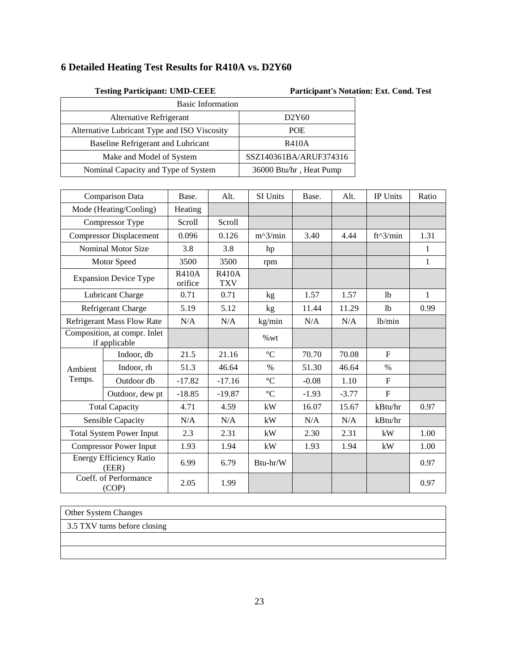# **6 Detailed Heating Test Results for R410A vs. D2Y60**

| <b>Testing Participant: UMD-CEEE</b>         | <b>Participant's Not</b> |
|----------------------------------------------|--------------------------|
| <b>Basic Information</b>                     |                          |
| Alternative Refrigerant                      | D2Y60                    |
| Alternative Lubricant Type and ISO Viscosity | <b>POE</b>               |
| Baseline Refrigerant and Lubricant           | <b>R410A</b>             |
| Make and Model of System                     | SSZ140361BA/ARUF374316   |
| Nominal Capacity and Type of System          | 36000 Btu/hr, Heat Pump  |

|                                               | Comparison Data                         | Base.                   | Alt.                       | SI Units        | Base.   | Alt.    | IP Units       | Ratio        |
|-----------------------------------------------|-----------------------------------------|-------------------------|----------------------------|-----------------|---------|---------|----------------|--------------|
|                                               | Mode (Heating/Cooling)                  | Heating                 |                            |                 |         |         |                |              |
|                                               | Compressor Type                         | Scroll                  | Scroll                     |                 |         |         |                |              |
|                                               | <b>Compressor Displacement</b>          | 0.096                   | 0.126                      | $m^2/$ min      | 3.40    | 4.44    | $ft^3/min$     | 1.31         |
|                                               | <b>Nominal Motor Size</b>               | 3.8                     | 3.8                        | hp              |         |         |                | 1            |
|                                               | Motor Speed                             | 3500                    | 3500                       | rpm             |         |         |                | 1            |
|                                               | <b>Expansion Device Type</b>            | <b>R410A</b><br>orifice | <b>R410A</b><br><b>TXV</b> |                 |         |         |                |              |
|                                               | Lubricant Charge                        | 0.71                    | 0.71                       | kg              | 1.57    | 1.57    | 1 <sub>b</sub> | $\mathbf{1}$ |
|                                               | Refrigerant Charge                      | 5.19                    | 5.12                       | kg              | 11.44   | 11.29   | 1b             | 0.99         |
|                                               | <b>Refrigerant Mass Flow Rate</b>       |                         | N/A                        | kg/min          | N/A     | N/A     | lb/min         |              |
| Composition, at compr. Inlet<br>if applicable |                                         |                         |                            | %wt             |         |         |                |              |
|                                               | Indoor, db                              | 21.5                    | 21.16                      | $\rm ^{\circ}C$ | 70.70   | 70.08   | $\mathbf{F}$   |              |
| Ambient                                       | Indoor, rh                              | 51.3                    | 46.64                      | $\%$            | 51.30   | 46.64   | $\%$           |              |
| Temps.                                        | Outdoor db                              | $-17.82$                | $-17.16$                   | $\rm ^{\circ}C$ | $-0.08$ | 1.10    | $\mathbf F$    |              |
|                                               | Outdoor, dew pt                         | $-18.85$                | $-19.87$                   | $\rm ^{\circ}C$ | $-1.93$ | $-3.77$ | $\mathbf{F}$   |              |
|                                               | <b>Total Capacity</b>                   | 4.71                    | 4.59                       | kW              | 16.07   | 15.67   | kBtu/hr        | 0.97         |
|                                               | Sensible Capacity                       | N/A                     | N/A                        | kW              | N/A     | N/A     | kBtu/hr        |              |
|                                               | <b>Total System Power Input</b>         |                         | 2.31                       | kW              | 2.30    | 2.31    | kW             | 1.00         |
|                                               | <b>Compressor Power Input</b>           | 1.93                    | 1.94                       | kW              | 1.93    | 1.94    | kW             | 1.00         |
|                                               | <b>Energy Efficiency Ratio</b><br>(EER) | 6.99                    | 6.79                       | Btu-hr/W        |         |         |                | 0.97         |
|                                               | Coeff. of Performance<br>(COP)          | 2.05                    | 1.99                       |                 |         |         |                | 0.97         |

### Other System Changes

3.5 TXV turns before closing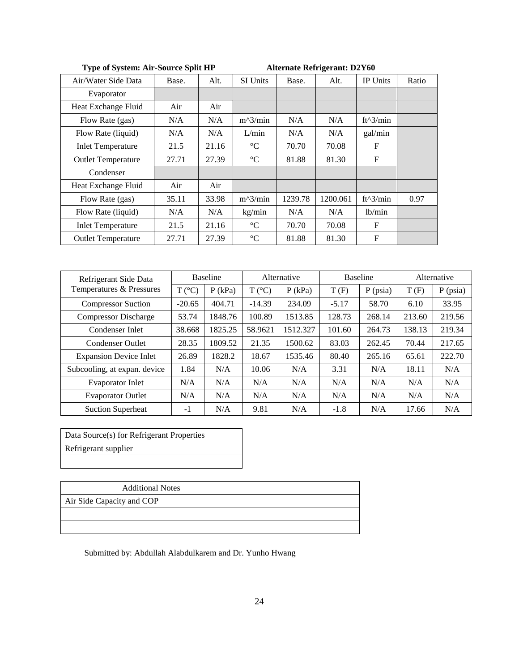| Air/Water Side Data       | Base. | Alt.  | <b>SI Units</b> | Base.   | Alt.     | <b>IP Units</b> | Ratio |
|---------------------------|-------|-------|-----------------|---------|----------|-----------------|-------|
| Evaporator                |       |       |                 |         |          |                 |       |
| Heat Exchange Fluid       | Air   | Air   |                 |         |          |                 |       |
| Flow Rate (gas)           | N/A   | N/A   | $m^2/$ min      | N/A     | N/A      | $ft^3/min$      |       |
| Flow Rate (liquid)        | N/A   | N/A   | L/min           | N/A     | N/A      | gal/min         |       |
| <b>Inlet Temperature</b>  | 21.5  | 21.16 | $\rm ^{\circ}C$ | 70.70   | 70.08    | $_{\rm F}$      |       |
| <b>Outlet Temperature</b> | 27.71 | 27.39 | $\rm ^{\circ}C$ | 81.88   | 81.30    | F               |       |
| Condenser                 |       |       |                 |         |          |                 |       |
| Heat Exchange Fluid       | Air   | Air   |                 |         |          |                 |       |
| Flow Rate (gas)           | 35.11 | 33.98 | $m^2/$ min      | 1239.78 | 1200.061 | $ft^3/min$      | 0.97  |
| Flow Rate (liquid)        | N/A   | N/A   | kg/min          | N/A     | N/A      | lb/min          |       |
| <b>Inlet Temperature</b>  | 21.5  | 21.16 | $\rm ^{\circ}C$ | 70.70   | 70.08    | $\mathbf F$     |       |
| <b>Outlet Temperature</b> | 27.71 | 27.39 | $\rm ^{\circ}C$ | 81.88   | 81.30    | $\mathbf F$     |       |

|  |  |  |  | Type of System: Air-Source Split HP |  |  |
|--|--|--|--|-------------------------------------|--|--|
|--|--|--|--|-------------------------------------|--|--|

**Alternate Refrigerant: D2Y60** 

| Refrigerant Side Data         | <b>Baseline</b> |           | Alternative     |          | <b>Baseline</b> |            | Alternative |            |
|-------------------------------|-----------------|-----------|-----------------|----------|-----------------|------------|-------------|------------|
| Temperatures & Pressures      | $T (^{\circ}C)$ | $P$ (kPa) | $T (^{\circ}C)$ | P(kPa)   | T(F)            | $P$ (psia) | T(F)        | $P$ (psia) |
| <b>Compressor Suction</b>     | $-20.65$        | 404.71    | $-14.39$        | 234.09   | $-5.17$         | 58.70      | 6.10        | 33.95      |
| <b>Compressor Discharge</b>   | 53.74           | 1848.76   | 100.89          | 1513.85  | 128.73          | 268.14     | 213.60      | 219.56     |
| Condenser Inlet               | 38.668          | 1825.25   | 58.9621         | 1512.327 | 101.60          | 264.73     | 138.13      | 219.34     |
| Condenser Outlet              | 28.35           | 1809.52   | 21.35           | 1500.62  | 83.03           | 262.45     | 70.44       | 217.65     |
| <b>Expansion Device Inlet</b> | 26.89           | 1828.2    | 18.67           | 1535.46  | 80.40           | 265.16     | 65.61       | 222.70     |
| Subcooling, at expan. device  | 1.84            | N/A       | 10.06           | N/A      | 3.31            | N/A        | 18.11       | N/A        |
| <b>Evaporator Inlet</b>       | N/A             | N/A       | N/A             | N/A      | N/A             | N/A        | N/A         | N/A        |
| <b>Evaporator Outlet</b>      | N/A             | N/A       | N/A             | N/A      | N/A             | N/A        | N/A         | N/A        |
| <b>Suction Superheat</b>      | $-1$            | N/A       | 9.81            | N/A      | $-1.8$          | N/A        | 17.66       | N/A        |

Data Source(s) for Refrigerant Properties Refrigerant supplier

| <b>Additional Notes</b> |
|-------------------------|
|-------------------------|

Air Side Capacity and COP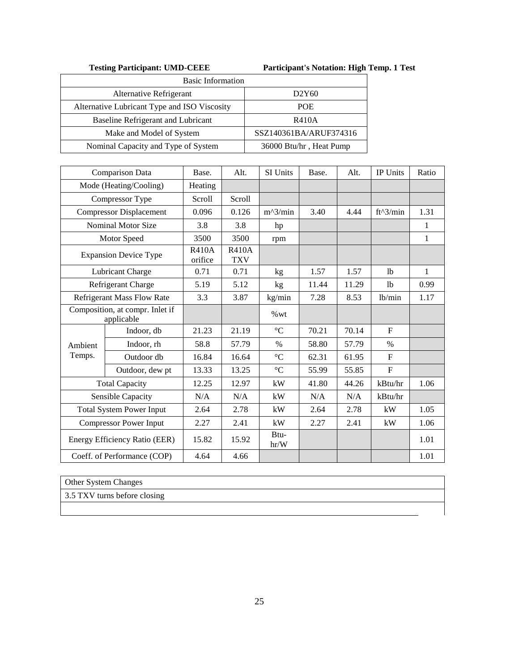**Testing Participant: UMD-CEEE Participant's Notation: High Temp. 1 Test**

| <b>Basic Information</b>                     |                                |
|----------------------------------------------|--------------------------------|
| Alternative Refrigerant                      | D <sub>2</sub> Y <sub>60</sub> |
| Alternative Lubricant Type and ISO Viscosity | <b>POE</b>                     |
| Baseline Refrigerant and Lubricant           | R410A                          |
| Make and Model of System                     | SSZ140361BA/ARUF374316         |
| Nominal Capacity and Type of System          | 36000 Btu/hr, Heat Pump        |

|                                               | Comparison Data                   | Base.                   | Alt.                       | SI Units        | Base. | Alt.  | IP Units       | Ratio        |
|-----------------------------------------------|-----------------------------------|-------------------------|----------------------------|-----------------|-------|-------|----------------|--------------|
|                                               | Mode (Heating/Cooling)            | Heating                 |                            |                 |       |       |                |              |
|                                               | Compressor Type                   | Scroll                  | Scroll                     |                 |       |       |                |              |
|                                               | <b>Compressor Displacement</b>    | 0.096                   | 0.126                      | $m^2/$ min      | 3.40  | 4.44  | $ft^3/min$     | 1.31         |
|                                               | <b>Nominal Motor Size</b>         | 3.8                     | 3.8                        | hp              |       |       |                | 1            |
|                                               | Motor Speed                       | 3500                    | 3500                       | rpm             |       |       |                | $\mathbf{1}$ |
|                                               | <b>Expansion Device Type</b>      | <b>R410A</b><br>orifice | <b>R410A</b><br><b>TXV</b> |                 |       |       |                |              |
|                                               | Lubricant Charge                  | 0.71                    | 0.71                       | kg              | 1.57  | 1.57  | 1 <sub>b</sub> | 1            |
|                                               | Refrigerant Charge                | 5.19                    | 5.12                       | kg              | 11.44 | 11.29 | 1b             | 0.99         |
|                                               | <b>Refrigerant Mass Flow Rate</b> | 3.3                     | 3.87                       | kg/min          | 7.28  | 8.53  | lb/min         | 1.17         |
| Composition, at compr. Inlet if<br>applicable |                                   |                         |                            | %wt             |       |       |                |              |
|                                               | Indoor, db                        | 21.23                   | 21.19                      | $\rm ^{\circ}C$ | 70.21 | 70.14 | $F_{\rm}$      |              |
| Ambient                                       | Indoor, rh                        | 58.8                    | 57.79                      | $\%$            | 58.80 | 57.79 | $\%$           |              |
| Temps.                                        | Outdoor db                        | 16.84                   | 16.64                      | $\rm ^{\circ}C$ | 62.31 | 61.95 | $\mathbf F$    |              |
|                                               | Outdoor, dew pt                   | 13.33                   | 13.25                      | $\rm ^{\circ}C$ | 55.99 | 55.85 | $\mathbf{F}$   |              |
|                                               | <b>Total Capacity</b>             | 12.25                   | 12.97                      | kW              | 41.80 | 44.26 | kBtu/hr        | 1.06         |
|                                               | Sensible Capacity                 | N/A                     | N/A                        | kW              | N/A   | N/A   | kBtu/hr        |              |
|                                               | <b>Total System Power Input</b>   | 2.64                    | 2.78                       | kW              | 2.64  | 2.78  | kW             | 1.05         |
|                                               | <b>Compressor Power Input</b>     | 2.27                    | 2.41                       | kW              | 2.27  | 2.41  | kW             | 1.06         |
|                                               | Energy Efficiency Ratio (EER)     | 15.82                   | 15.92                      | Btu-<br>hr/W    |       |       |                | 1.01         |
|                                               | Coeff. of Performance (COP)       | 4.64                    | 4.66                       |                 |       |       |                | 1.01         |

Other System Changes

3.5 TXV turns before closing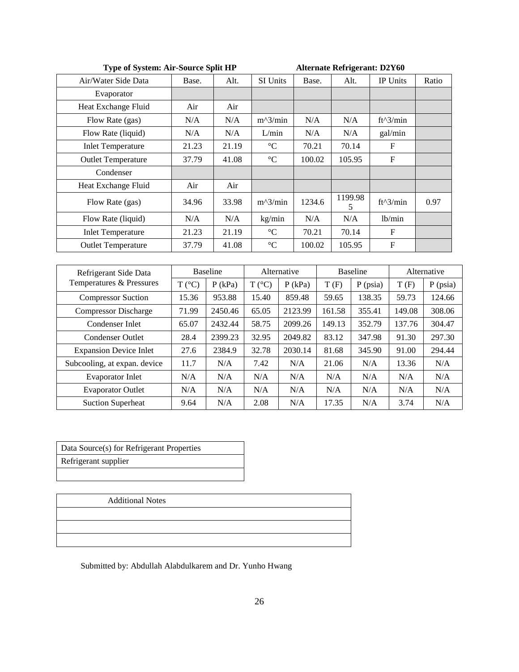| <b>Type of System: Air-Source Split HP</b> |                 |           |                 | <b>Alternate Refrigerant: D2Y60</b> |        |                 |            |                           |             |
|--------------------------------------------|-----------------|-----------|-----------------|-------------------------------------|--------|-----------------|------------|---------------------------|-------------|
| Air/Water Side Data                        | Base.           | Alt.      | SI Units        | Base.                               | Alt.   |                 |            | IP Units                  | Ratio       |
| Evaporator                                 |                 |           |                 |                                     |        |                 |            |                           |             |
| Heat Exchange Fluid                        | Air             | Air       |                 |                                     |        |                 |            |                           |             |
| Flow Rate (gas)                            | N/A             | N/A       | $m^2/$ min      | N/A                                 |        | N/A             |            | $ft^3/min$                |             |
| Flow Rate (liquid)                         | N/A             | N/A       | L/min           | N/A                                 |        | N/A             |            | gal/min                   |             |
| <b>Inlet Temperature</b>                   | 21.23           | 21.19     | $\rm ^{\circ}C$ | 70.21                               |        | 70.14           |            | $\boldsymbol{\mathrm{F}}$ |             |
| <b>Outlet Temperature</b>                  | 37.79           | 41.08     | $\rm ^{\circ}C$ | 100.02                              |        | 105.95          |            | $\mathbf{F}$              |             |
| Condenser                                  |                 |           |                 |                                     |        |                 |            |                           |             |
| Heat Exchange Fluid                        | Air             | Air       |                 |                                     |        |                 |            |                           |             |
| Flow Rate (gas)                            | 34.96           | 33.98     | $m^2/$ min      | 1234.6                              |        | 1199.98<br>5    |            | ft^3/min                  | 0.97        |
| Flow Rate (liquid)                         | N/A             | N/A       | kg/min          | N/A                                 |        | N/A             |            | lb/min                    |             |
| <b>Inlet Temperature</b>                   | 21.23           | 21.19     | $^{\circ}C$     | 70.21                               |        | 70.14           |            | $\mathbf{F}$              |             |
| <b>Outlet Temperature</b>                  | 37.79           | 41.08     | $\rm ^{\circ}C$ | 100.02                              |        | 105.95          |            | $\mathbf F$               |             |
|                                            |                 |           |                 |                                     |        |                 |            |                           |             |
| Refrigerant Side Data                      | <b>Baseline</b> |           | Alternative     |                                     |        | <b>Baseline</b> |            |                           | Alternative |
| Temperatures & Pressures                   | $T (^{\circ}C)$ | $P$ (kPa) | $T (^{\circ}C)$ | $P$ (kPa)                           | T(F)   |                 | $P$ (psia) | T(F)                      | $P$ (psia)  |
| <b>Compressor Suction</b>                  | 15.36           | 953.88    | 15.40           | 859.48                              | 59.65  |                 | 138.35     | 59.73                     | 124.66      |
| <b>Compressor Discharge</b>                | 71.99           | 2450.46   | 65.05           | 2123.99                             | 161.58 | 355.41          |            | 149.08                    | 308.06      |
| Condenser Inlet                            | 65.07           | 2432.44   | 58.75           | 2099.26                             | 149.13 |                 | 352.79     | 137.76                    | 304.47      |
| <b>Condenser Outlet</b>                    | 28.4            | 2399.23   | 32.95           | 2049.82                             | 83.12  |                 | 347.98     | 91.30                     | 297.30      |
| <b>Expansion Device Inlet</b>              | 27.6            | 2384.9    | 32.78           | 2030.14                             | 81.68  |                 | 345.90     | 91.00                     | 294.44      |
| Subcooling, at expan. device               | 11.7            | N/A       | 7.42            | N/A                                 | 21.06  |                 | N/A        | 13.36                     | N/A         |
| <b>Evaporator Inlet</b>                    | N/A             | N/A       | N/A             | N/A                                 | N/A    |                 | N/A        | N/A                       | N/A         |
| <b>Evaporator Outlet</b>                   | N/A             | N/A       | N/A             | N/A                                 | N/A    |                 | N/A        | N/A                       | N/A         |
| <b>Suction Superheat</b>                   | 9.64            | N/A       | 2.08            | N/A                                 | 17.35  | N/A             |            | 3.74                      | N/A         |

Data Source(s) for Refrigerant Properties Refrigerant supplier

Additional Notes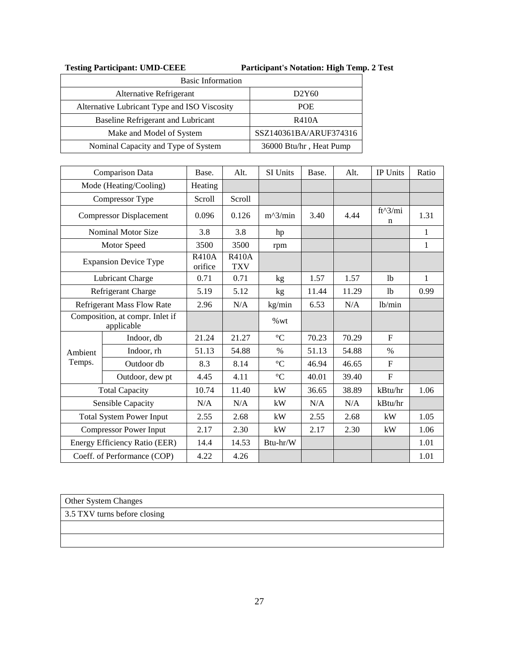## **Testing Participant: UMD-CEEE Participant's Notation: High Temp. 2 Test**

| <b>Basic Information</b>                     |                                |  |  |  |  |  |
|----------------------------------------------|--------------------------------|--|--|--|--|--|
| Alternative Refrigerant                      | D <sub>2</sub> Y <sub>60</sub> |  |  |  |  |  |
| Alternative Lubricant Type and ISO Viscosity | <b>POE</b>                     |  |  |  |  |  |
| Baseline Refrigerant and Lubricant           | R410A                          |  |  |  |  |  |
| Make and Model of System                     | SSZ140361BA/ARUF374316         |  |  |  |  |  |
| Nominal Capacity and Type of System          | 36000 Btu/hr, Heat Pump        |  |  |  |  |  |

|         | Comparison Data                               | Base.                   | Alt.                       | SI Units        | Base. | Alt.  | IP Units       | Ratio        |
|---------|-----------------------------------------------|-------------------------|----------------------------|-----------------|-------|-------|----------------|--------------|
|         | Mode (Heating/Cooling)                        | Heating                 |                            |                 |       |       |                |              |
|         | Compressor Type                               | Scroll                  | Scroll                     |                 |       |       |                |              |
|         | <b>Compressor Displacement</b>                | 0.096                   | 0.126                      | $m^2/$ min      | 3.40  | 4.44  | $ft^3/mi$<br>n | 1.31         |
|         | <b>Nominal Motor Size</b>                     | 3.8                     | 3.8                        | hp              |       |       |                | $\mathbf{1}$ |
|         | Motor Speed                                   | 3500                    | 3500                       | rpm             |       |       |                | $\mathbf{1}$ |
|         | <b>Expansion Device Type</b>                  | <b>R410A</b><br>orifice | <b>R410A</b><br><b>TXV</b> |                 |       |       |                |              |
|         | Lubricant Charge                              | 0.71                    | 0.71                       | kg              | 1.57  | 1.57  | 1 <sub>b</sub> | 1            |
|         | Refrigerant Charge                            | 5.19                    | 5.12                       | kg              | 11.44 | 11.29 | 1 <sub>b</sub> | 0.99         |
|         | Refrigerant Mass Flow Rate                    | 2.96                    | N/A                        | kg/min          | 6.53  | N/A   | lb/min         |              |
|         | Composition, at compr. Inlet if<br>applicable |                         |                            | %wt             |       |       |                |              |
|         | Indoor, db                                    | 21.24                   | 21.27                      | $\rm ^{\circ}C$ | 70.23 | 70.29 | $\mathbf{F}$   |              |
| Ambient | Indoor, rh                                    | 51.13                   | 54.88                      | $\%$            | 51.13 | 54.88 | $\%$           |              |
| Temps.  | Outdoor db                                    | 8.3                     | 8.14                       | $\rm ^{\circ}C$ | 46.94 | 46.65 | $\mathbf{F}$   |              |
|         | Outdoor, dew pt                               | 4.45                    | 4.11                       | $\rm ^{\circ}C$ | 40.01 | 39.40 | $\mathbf F$    |              |
|         | <b>Total Capacity</b>                         | 10.74                   | 11.40                      | kW              | 36.65 | 38.89 | kBtu/hr        | 1.06         |
|         | Sensible Capacity                             | N/A                     | N/A                        | kW              | N/A   | N/A   | kBtu/hr        |              |
|         | <b>Total System Power Input</b>               | 2.55                    | 2.68                       | kW              | 2.55  | 2.68  | kW             | 1.05         |
|         | <b>Compressor Power Input</b>                 | 2.17                    | 2.30                       | kW              | 2.17  | 2.30  | kW             | 1.06         |
|         | Energy Efficiency Ratio (EER)                 | 14.4                    | 14.53                      | $Btu-hr/W$      |       |       |                | 1.01         |
|         | Coeff. of Performance (COP)                   | 4.22                    | 4.26                       |                 |       |       |                | 1.01         |

Other System Changes

3.5 TXV turns before closing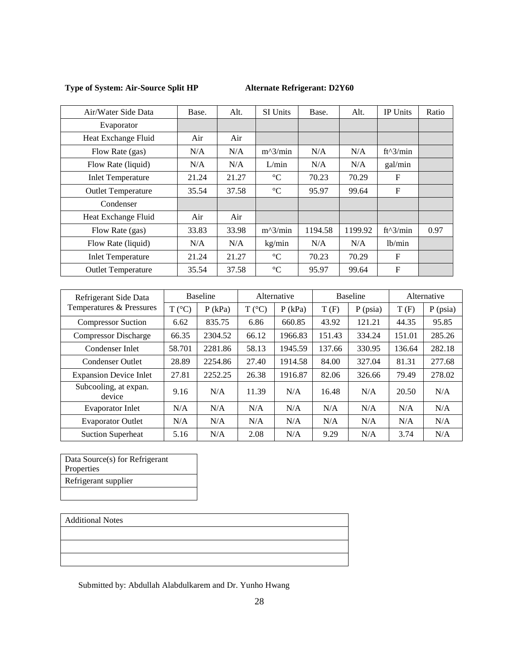# **Type of System: Air-Source Split HP Alternate Refrigerant: D2Y60**

| Air/Water Side Data       | Base. | Alt.  | SI Units        | Base.   | Alt.    | <b>IP</b> Units     | Ratio |
|---------------------------|-------|-------|-----------------|---------|---------|---------------------|-------|
| Evaporator                |       |       |                 |         |         |                     |       |
| Heat Exchange Fluid       | Air   | Air   |                 |         |         |                     |       |
| Flow Rate (gas)           | N/A   | N/A   | $m^2/$ min      | N/A     | N/A     | $ft^3/min$          |       |
| Flow Rate (liquid)        | N/A   | N/A   | L/min           | N/A     | N/A     | gal/min             |       |
| <b>Inlet Temperature</b>  | 21.24 | 21.27 | $\rm ^{\circ}C$ | 70.23   | 70.29   | F                   |       |
| <b>Outlet Temperature</b> | 35.54 | 37.58 | $\rm ^{\circ}C$ | 95.97   | 99.64   | F                   |       |
| Condenser                 |       |       |                 |         |         |                     |       |
| Heat Exchange Fluid       | Air   | Air   |                 |         |         |                     |       |
| Flow Rate (gas)           | 33.83 | 33.98 | $m^2/$ min      | 1194.58 | 1199.92 | $ft^3/min$          | 0.97  |
| Flow Rate (liquid)        | N/A   | N/A   | kg/min          | N/A     | N/A     | 1 <sub>b</sub> /min |       |
| <b>Inlet Temperature</b>  | 21.24 | 21.27 | $\rm ^{\circ}C$ | 70.23   | 70.29   | $\mathbf{F}$        |       |
| <b>Outlet Temperature</b> | 35.54 | 37.58 | $\rm ^{\circ}C$ | 95.97   | 99.64   | $\mathbf{F}$        |       |

| Refrigerant Side Data           |                 | <b>Baseline</b> |                 | Alternative |        | <b>Baseline</b> | Alternative |            |
|---------------------------------|-----------------|-----------------|-----------------|-------------|--------|-----------------|-------------|------------|
| Temperatures & Pressures        | $T (^{\circ}C)$ | $P$ (kPa)       | $T (^{\circ}C)$ | $P$ (kPa)   | T(F)   | $P$ (psia)      | T(F)        | $P$ (psia) |
| <b>Compressor Suction</b>       | 6.62            | 835.75          | 6.86            | 660.85      | 43.92  | 121.21          | 44.35       | 95.85      |
| <b>Compressor Discharge</b>     | 66.35           | 2304.52         | 66.12           | 1966.83     | 151.43 | 334.24          | 151.01      | 285.26     |
| Condenser Inlet                 | 58.701          | 2281.86         | 58.13           | 1945.59     | 137.66 | 330.95          | 136.64      | 282.18     |
| Condenser Outlet                | 28.89           | 2254.86         | 27.40           | 1914.58     | 84.00  | 327.04          | 81.31       | 277.68     |
| <b>Expansion Device Inlet</b>   | 27.81           | 2252.25         | 26.38           | 1916.87     | 82.06  | 326.66          | 79.49       | 278.02     |
| Subcooling, at expan.<br>device | 9.16            | N/A             | 11.39           | N/A         | 16.48  | N/A             | 20.50       | N/A        |
| <b>Evaporator Inlet</b>         | N/A             | N/A             | N/A             | N/A         | N/A    | N/A             | N/A         | N/A        |
| <b>Evaporator Outlet</b>        | N/A             | N/A             | N/A             | N/A         | N/A    | N/A             | N/A         | N/A        |
| <b>Suction Superheat</b>        | 5.16            | N/A             | 2.08            | N/A         | 9.29   | N/A             | 3.74        | N/A        |

Data Source(s) for Refrigerant Properties Refrigerant supplier

#### Additional Notes

| <b>Additional Notes</b> |  |  |
|-------------------------|--|--|
|                         |  |  |
|                         |  |  |
|                         |  |  |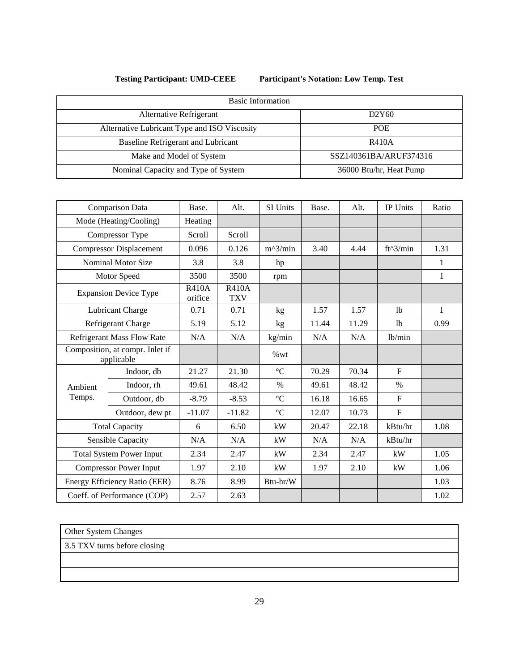**Testing Participant: UMD-CEEE Participant's Notation: Low Temp. Test**

| <b>Basic Information</b>                     |                         |
|----------------------------------------------|-------------------------|
| Alternative Refrigerant                      | D2Y60                   |
| Alternative Lubricant Type and ISO Viscosity | <b>POE</b>              |
| Baseline Refrigerant and Lubricant           | R410A                   |
| Make and Model of System                     | SSZ140361BA/ARUF374316  |
| Nominal Capacity and Type of System          | 36000 Btu/hr, Heat Pump |

|         | Comparison Data                               | Base.                   | Alt.                       | SI Units        | Base. | Alt.  | <b>IP</b> Units | Ratio |
|---------|-----------------------------------------------|-------------------------|----------------------------|-----------------|-------|-------|-----------------|-------|
|         | Mode (Heating/Cooling)                        | Heating                 |                            |                 |       |       |                 |       |
|         | Compressor Type                               | Scroll                  | Scroll                     |                 |       |       |                 |       |
|         | <b>Compressor Displacement</b>                | 0.096                   | 0.126                      | $m^2/$ min      | 3.40  | 4.44  | $ft^3/min$      | 1.31  |
|         | <b>Nominal Motor Size</b>                     | 3.8                     | 3.8                        | hp              |       |       |                 | 1     |
|         | Motor Speed                                   | 3500                    | 3500                       | rpm             |       |       |                 | 1     |
|         | <b>Expansion Device Type</b>                  | <b>R410A</b><br>orifice | <b>R410A</b><br><b>TXV</b> |                 |       |       |                 |       |
|         | Lubricant Charge                              | 0.71                    | 0.71                       | kg              | 1.57  | 1.57  | 1 <sub>b</sub>  | 1     |
|         | Refrigerant Charge                            | 5.19                    | 5.12                       | kg              | 11.44 | 11.29 | 1 <sub>b</sub>  | 0.99  |
|         | <b>Refrigerant Mass Flow Rate</b>             | N/A                     | N/A                        | kg/min          | N/A   | N/A   | lb/min          |       |
|         | Composition, at compr. Inlet if<br>applicable |                         |                            | %wt             |       |       |                 |       |
|         | Indoor, db                                    | 21.27                   | 21.30                      | $\rm ^{\circ}C$ | 70.29 | 70.34 | F               |       |
| Ambient | Indoor, rh                                    | 49.61                   | 48.42                      | $\%$            | 49.61 | 48.42 | $\%$            |       |
| Temps.  | Outdoor, db                                   | $-8.79$                 | $-8.53$                    | $\rm ^{\circ}C$ | 16.18 | 16.65 | $\mathbf{F}$    |       |
|         | Outdoor, dew pt                               | $-11.07$                | $-11.82$                   | $^{\circ}C$     | 12.07 | 10.73 | $\mathbf F$     |       |
|         | <b>Total Capacity</b>                         | 6                       | 6.50                       | kW              | 20.47 | 22.18 | kBtu/hr         | 1.08  |
|         | Sensible Capacity                             | N/A                     | N/A                        | kW              | N/A   | N/A   | kBtu/hr         |       |
|         | <b>Total System Power Input</b>               | 2.34                    | 2.47                       | kW              | 2.34  | 2.47  | kW              | 1.05  |
|         | <b>Compressor Power Input</b>                 | 1.97                    | 2.10                       | kW              | 1.97  | 2.10  | kW              | 1.06  |
|         | Energy Efficiency Ratio (EER)                 | 8.76                    | 8.99                       | Btu-hr/W        |       |       |                 | 1.03  |
|         | Coeff. of Performance (COP)                   | 2.57                    | 2.63                       |                 |       |       |                 | 1.02  |

Other System Changes

3.5 TXV turns before closing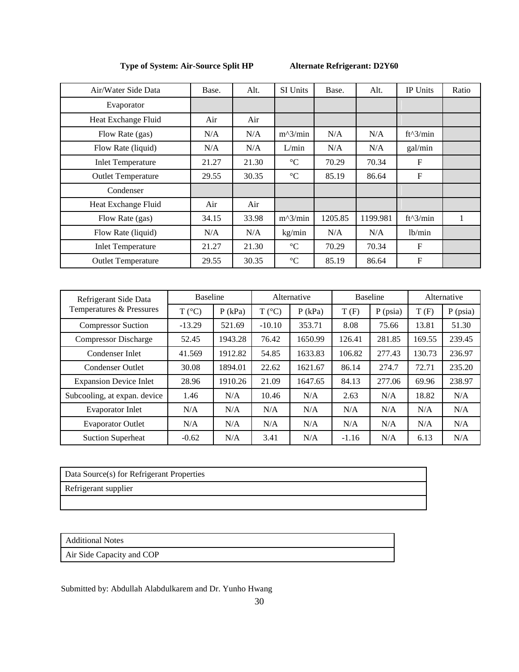### **Type of System: Air-Source Split HP Alternate Refrigerant: D2Y60**

| Air/Water Side Data       | Base. | Alt.  | <b>SI Units</b>   | Base.   | Alt.     | <b>IP Units</b>  | Ratio |
|---------------------------|-------|-------|-------------------|---------|----------|------------------|-------|
| Evaporator                |       |       |                   |         |          |                  |       |
| Heat Exchange Fluid       | Air   | Air   |                   |         |          |                  |       |
| Flow Rate (gas)           | N/A   | N/A   | $m^2/$ min        | N/A     | N/A      | $ft^3/min$       |       |
| Flow Rate (liquid)        | N/A   | N/A   | L/min             | N/A     | N/A      | gal/min          |       |
| <b>Inlet Temperature</b>  | 21.27 | 21.30 | $\rm ^{\circ}C$   | 70.29   | 70.34    | $\boldsymbol{F}$ |       |
| <b>Outlet Temperature</b> | 29.55 | 30.35 | $\rm ^{\circ}C$   | 85.19   | 86.64    | $\boldsymbol{F}$ |       |
| Condenser                 |       |       |                   |         |          |                  |       |
| Heat Exchange Fluid       | Air   | Air   |                   |         |          |                  |       |
| Flow Rate (gas)           | 34.15 | 33.98 | $m^2/$ min        | 1205.85 | 1199.981 | $ft^3/min$       | 1     |
| Flow Rate (liquid)        | N/A   | N/A   | kg/min            | N/A     | N/A      | lb/min           |       |
| <b>Inlet Temperature</b>  | 21.27 | 21.30 | $\rm ^{\circ}C$   | 70.29   | 70.34    | $\boldsymbol{F}$ |       |
| <b>Outlet Temperature</b> | 29.55 | 30.35 | $^{\circ}{\rm C}$ | 85.19   | 86.64    | $\mathbf{F}$     |       |

| Refrigerant Side Data<br>Temperatures & Pressures | <b>Baseline</b> |           | Alternative     |           | Baseline |            | Alternative |            |
|---------------------------------------------------|-----------------|-----------|-----------------|-----------|----------|------------|-------------|------------|
|                                                   | $T (^{\circ}C)$ | $P$ (kPa) | $T (^{\circ}C)$ | $P$ (kPa) | T(F)     | $P$ (psia) | T(F)        | $P$ (psia) |
| <b>Compressor Suction</b>                         | $-13.29$        | 521.69    | $-10.10$        | 353.71    | 8.08     | 75.66      | 13.81       | 51.30      |
| <b>Compressor Discharge</b>                       | 52.45           | 1943.28   | 76.42           | 1650.99   | 126.41   | 281.85     | 169.55      | 239.45     |
| Condenser Inlet                                   | 41.569          | 1912.82   | 54.85           | 1633.83   | 106.82   | 277.43     | 130.73      | 236.97     |
| <b>Condenser Outlet</b>                           | 30.08           | 1894.01   | 22.62           | 1621.67   | 86.14    | 274.7      | 72.71       | 235.20     |
| <b>Expansion Device Inlet</b>                     | 28.96           | 1910.26   | 21.09           | 1647.65   | 84.13    | 277.06     | 69.96       | 238.97     |
| Subcooling, at expan. device                      | 1.46            | N/A       | 10.46           | N/A       | 2.63     | N/A        | 18.82       | N/A        |
| <b>Evaporator Inlet</b>                           | N/A             | N/A       | N/A             | N/A       | N/A      | N/A        | N/A         | N/A        |
| <b>Evaporator Outlet</b>                          | N/A             | N/A       | N/A             | N/A       | N/A      | N/A        | N/A         | N/A        |
| <b>Suction Superheat</b>                          | $-0.62$         | N/A       | 3.41            | N/A       | $-1.16$  | N/A        | 6.13        | N/A        |

Data Source(s) for Refrigerant Properties

Refrigerant supplier

Additional Notes

Air Side Capacity and COP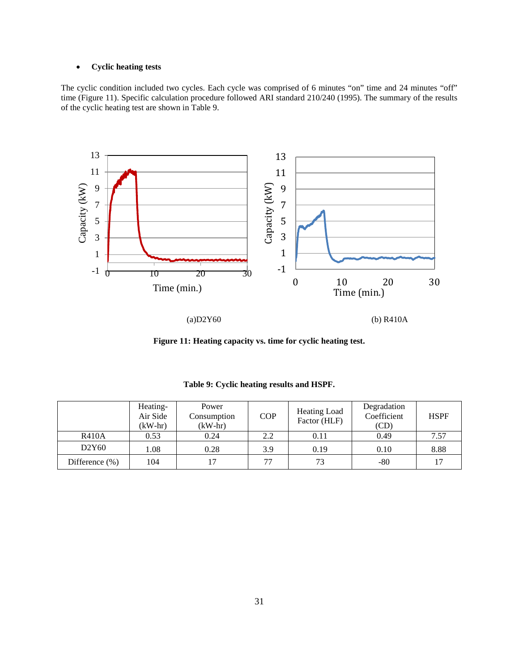### • **Cyclic heating tests**

The cyclic condition included two cycles. Each cycle was comprised of 6 minutes "on" time and 24 minutes "off" time (Figure 11). Specific calculation procedure followed ARI standard 210/240 (1995). The summary of the results of the cyclic heating test are shown in Table 9.



**Figure 11: Heating capacity vs. time for cyclic heating test.**

|                    | Heating-<br>Air Side<br>$(kW-hr)$ | Power<br>Consumption<br>$(kW-hr)$ | <b>COP</b> | <b>Heating Load</b><br>Factor (HLF) | Degradation<br>Coefficient<br>(CD) | <b>HSPF</b> |
|--------------------|-----------------------------------|-----------------------------------|------------|-------------------------------------|------------------------------------|-------------|
| <b>R410A</b>       | 0.53                              | 0.24                              | 2.2        | 0.11                                | 0.49                               | 7.57        |
| D2Y60              | 1.08                              | 0.28                              | 3.9        | 0.19                                | 0.10                               | 8.88        |
| Difference $(\% )$ | 104                               | 17                                | 77         | 73                                  | $-80$                              | 17          |

**Table 9: Cyclic heating results and HSPF.**